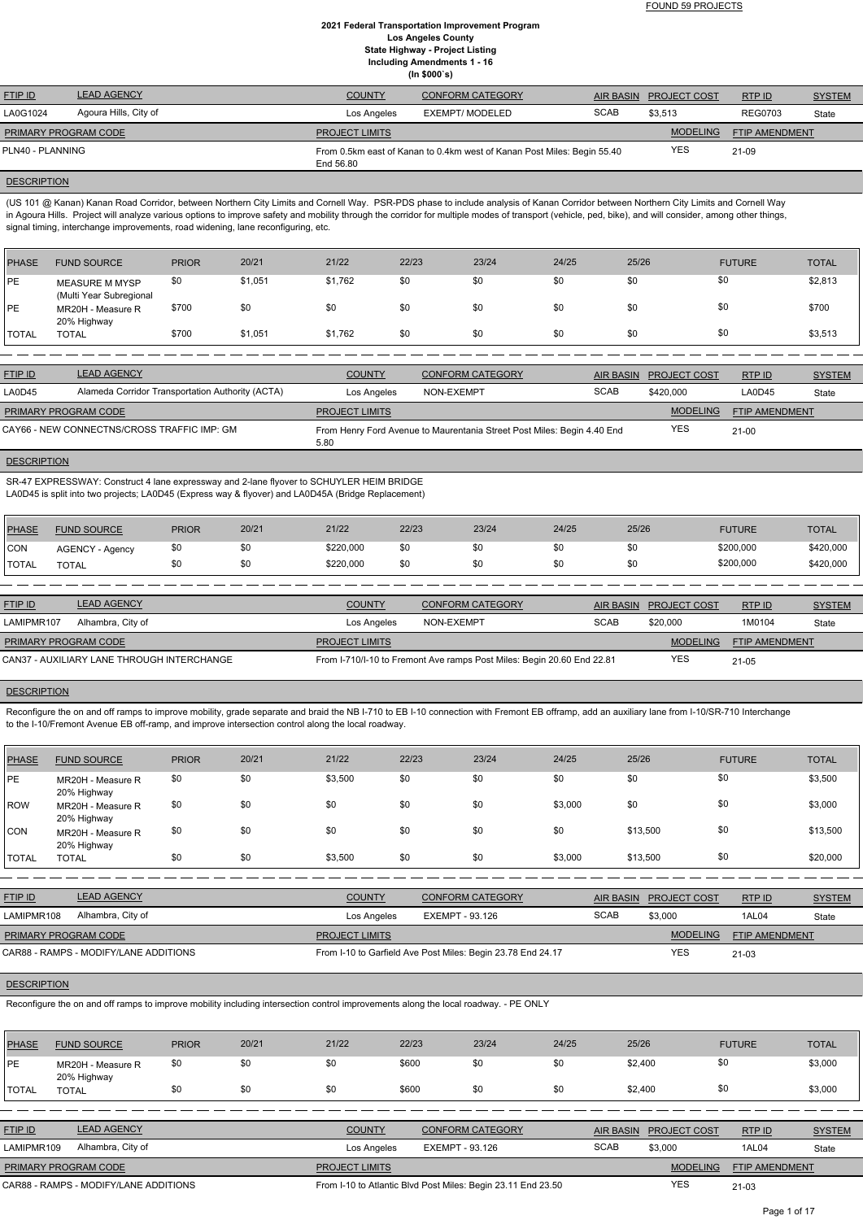| <b>FTIP ID</b>                    | <b>LEAD AGENCY</b> | <b>COUNTY</b>         | <b>CONFORM CATEGORY</b>                                                 |             | AIR BASIN PROJECT COST | RTPID          | <b>SYSTEM</b> |
|-----------------------------------|--------------------|-----------------------|-------------------------------------------------------------------------|-------------|------------------------|----------------|---------------|
| Agoura Hills, City of<br>LA0G1024 |                    | Los Angeles           | EXEMPT/ MODELED                                                         | <b>SCAB</b> | \$3,513                | <b>REG0703</b> | State         |
| <b>PRIMARY PROGRAM CODE</b>       |                    | <b>PROJECT LIMITS</b> |                                                                         |             | <b>MODELING</b>        | FTIP AMENDMENT |               |
| PLN40 - PLANNING                  |                    | End 56.80             | From 0.5km east of Kanan to 0.4km west of Kanan Post Miles: Begin 55.40 |             | <b>YES</b>             | 21-09          |               |

#### **DESCRIPTION**

(US 101 @ Kanan) Kanan Road Corridor, between Northern City Limits and Cornell Way. PSR-PDS phase to include analysis of Kanan Corridor between Northern City Limits and Cornell Way in Agoura Hills. Project will analyze various options to improve safety and mobility through the corridor for multiple modes of transport (vehicle, ped, bike), and will consider, among other things, signal timing, interchange improvements, road widening, lane reconfiguring, etc.

| <b>PHASE</b> | <b>FUND SOURCE</b>                               | <b>PRIOR</b> | 20/21   | 21/22   | 22/23 | 23/24 | 24/25 | 25/26 | <b>FUTURE</b> | <b>TOTAL</b> |
|--------------|--------------------------------------------------|--------------|---------|---------|-------|-------|-------|-------|---------------|--------------|
| <b>IPE</b>   | <b>MEASURE M MYSP</b><br>(Multi Year Subregional | \$0          | \$1,051 | \$1,762 | \$0   | \$0   | \$0   | \$0   | \$0           | \$2,813      |
| PE           | MR20H - Measure R<br>20% Highway                 | \$700        | \$0     | \$0     | \$0   | \$0   | \$0   | \$0   | \$0           | \$700        |
| <b>TOTAL</b> | <b>TOTAL</b>                                     | \$700        | \$1,051 | \$1,762 | \$0   | \$0   | \$0   | \$0   | \$0           | \$3,513      |

Reconfigure the on and off ramps to improve mobility, grade separate and braid the NB I-710 to EB I-10 connection with Fremont EB offramp, add an auxiliary lane from I-10/SR-710 Interchange to the I-10/Fremont Avenue EB off-ramp, and improve intersection control along the local roadway.

| <b>LEAD AGENCY</b><br><b>FTIP ID</b> |                                                  | <b>COUNTY</b>         | <b>CONFORM CATEGORY</b>                                                 | AIR BASIN   | <b>PROJECT COST</b> | RTP ID                | <b>SYSTEM</b> |
|--------------------------------------|--------------------------------------------------|-----------------------|-------------------------------------------------------------------------|-------------|---------------------|-----------------------|---------------|
| LA0D45                               | Alameda Corridor Transportation Authority (ACTA) | Los Angeles           | NON-EXEMPT                                                              | <b>SCAB</b> | \$420,000           | LA0D45                | State         |
| <b>PRIMARY PROGRAM CODE</b>          |                                                  | <b>PROJECT LIMITS</b> |                                                                         |             | <b>MODELING</b>     | <b>FTIP AMENDMENT</b> |               |
|                                      | CAY66 - NEW CONNECTNS/CROSS TRAFFIC IMP: GM      | 5.80                  | From Henry Ford Avenue to Maurentania Street Post Miles: Begin 4.40 End |             | <b>YES</b>          | $21-00$               |               |

# **DESCRIPTION**

SR-47 EXPRESSWAY: Construct 4 lane expressway and 2-lane flyover to SCHUYLER HEIM BRIDGE LA0D45 is split into two projects; LA0D45 (Express way & flyover) and LA0D45A (Bridge Replacement)

| PHASE         | <b>FUND SOURCE</b>     | <b>PRIOR</b> | 20/21 | 21/22     | 22/23 | 23/24 | 24/25 | 25/26 | <b>FUTURE</b> | <b>TOTAL</b> |
|---------------|------------------------|--------------|-------|-----------|-------|-------|-------|-------|---------------|--------------|
| <b>ICON</b>   | <b>AGENCY - Agency</b> | \$0          |       | \$220,000 | \$0   | sс    | \$0   | \$0   | \$200,000     | \$420,000    |
| <b>ITOTAL</b> | <b>TOTAL</b>           | \$0          |       | \$220,000 | \$0   | \$С   | \$0   | \$0   | \$200,000     | \$420,000    |

| <b>FTIP ID</b>              | <b>LEAD AGENCY</b>                         | <b>COUNTY</b>         | <b>CONFORM CATEGORY</b>                                                |             | AIR BASIN PROJECT COST | RTP ID                | <b>SYSTEM</b> |
|-----------------------------|--------------------------------------------|-----------------------|------------------------------------------------------------------------|-------------|------------------------|-----------------------|---------------|
| LAMIPMR107                  | Alhambra, City of                          | Los Angeles           | NON-EXEMPT                                                             | <b>SCAB</b> | \$20,000               | 1M0104                | State         |
| <b>PRIMARY PROGRAM CODE</b> |                                            | <b>PROJECT LIMITS</b> |                                                                        |             | <b>MODELING</b>        | <b>FTIP AMENDMENT</b> |               |
|                             | CAN37 - AUXILIARY LANE THROUGH INTERCHANGE |                       | From I-710/I-10 to Fremont Ave ramps Post Miles: Begin 20.60 End 22.81 |             | <b>YES</b>             | 21-05                 |               |

| <b>PHASE</b> | <b>FUND SOURCE</b>               | <b>PRIOR</b> | 20/21 | 21/22   | 22/23 | 23/24 | 24/25   | 25/26    | <b>FUTURE</b> | <b>TOTAL</b> |
|--------------|----------------------------------|--------------|-------|---------|-------|-------|---------|----------|---------------|--------------|
| <b>IPE</b>   | MR20H - Measure R<br>20% Highway | \$0          | \$0   | \$3,500 | \$0   | \$0   | \$0     | \$0      | \$0           | \$3,500      |
| ROW          | MR20H - Measure R<br>20% Highway | \$0          | \$0   | \$0     | \$0   | \$0   | \$3,000 | \$0      | \$0           | \$3,000      |
| Icon         | MR20H - Measure R<br>20% Highway | \$0          | \$0   | \$0     | \$0   | \$0   | \$0     | \$13,500 | \$0           | \$13,500     |
| <b>TOTAL</b> | <b>TOTAL</b>                     | \$0          | \$0   | \$3,500 | \$0   | \$0   | \$3,000 | \$13,500 | \$0           | \$20,000     |

| <b>FTIP ID</b>     | <b>LEAD AGENCY</b>                                                                                                                  |              |       | <b>COUNTY</b>         |       | <b>CONFORM CATEGORY</b>                                      |       | <b>AIR BASIN</b> | <b>PROJECT COST</b> | RTP ID                | <b>SYSTEM</b> |
|--------------------|-------------------------------------------------------------------------------------------------------------------------------------|--------------|-------|-----------------------|-------|--------------------------------------------------------------|-------|------------------|---------------------|-----------------------|---------------|
| LAMIPMR108         | Alhambra, City of                                                                                                                   |              |       | Los Angeles           |       | <b>EXEMPT - 93.126</b>                                       |       | <b>SCAB</b>      | \$3,000             | 1AL04                 | State         |
|                    | PRIMARY PROGRAM CODE                                                                                                                |              |       | <b>PROJECT LIMITS</b> |       |                                                              |       |                  | <b>MODELING</b>     | <b>FTIP AMENDMENT</b> |               |
|                    | CAR88 - RAMPS - MODIFY/LANE ADDITIONS                                                                                               |              |       |                       |       | From I-10 to Garfield Ave Post Miles: Begin 23.78 End 24.17  |       |                  | <b>YES</b>          | $21-03$               |               |
| <b>DESCRIPTION</b> |                                                                                                                                     |              |       |                       |       |                                                              |       |                  |                     |                       |               |
|                    | Reconfigure the on and off ramps to improve mobility including intersection control improvements along the local roadway. - PE ONLY |              |       |                       |       |                                                              |       |                  |                     |                       |               |
|                    |                                                                                                                                     |              |       |                       |       |                                                              |       |                  |                     |                       |               |
| PHASE              | <b>FUND SOURCE</b>                                                                                                                  | <b>PRIOR</b> | 20/21 | 21/22                 | 22/23 | 23/24                                                        | 24/25 | 25/26            |                     | <b>FUTURE</b>         | <b>TOTAL</b>  |
| PE                 | MR20H - Measure R<br>20% Highway                                                                                                    | \$0          | \$0   | \$0                   | \$600 | \$0                                                          | \$0   |                  | \$2,400             | \$0                   | \$3,000       |
| <b>TOTAL</b>       | <b>TOTAL</b>                                                                                                                        | \$0          | \$0   | \$0                   | \$600 | \$0                                                          | \$0   |                  | \$2,400             | \$0                   | \$3,000       |
|                    |                                                                                                                                     |              |       |                       |       |                                                              |       |                  |                     |                       |               |
| <b>FTIP ID</b>     | <b>LEAD AGENCY</b>                                                                                                                  |              |       | <b>COUNTY</b>         |       | <b>CONFORM CATEGORY</b>                                      |       | AIR BASIN        | <b>PROJECT COST</b> | RTP ID                | <b>SYSTEM</b> |
| LAMIPMR109         | Alhambra, City of                                                                                                                   |              |       | Los Angeles           |       | <b>EXEMPT - 93.126</b>                                       |       | <b>SCAB</b>      | \$3,000             | 1AL04                 | State         |
|                    | PRIMARY PROGRAM CODE                                                                                                                |              |       | PROJECT LIMITS        |       |                                                              |       |                  | <b>MODELING</b>     | <b>FTIP AMENDMENT</b> |               |
|                    | CAR88 - RAMPS - MODIFY/LANE ADDITIONS                                                                                               |              |       |                       |       | From I-10 to Atlantic Blvd Post Miles: Begin 23.11 End 23.50 |       |                  | <b>YES</b>          | $21 - 03$             |               |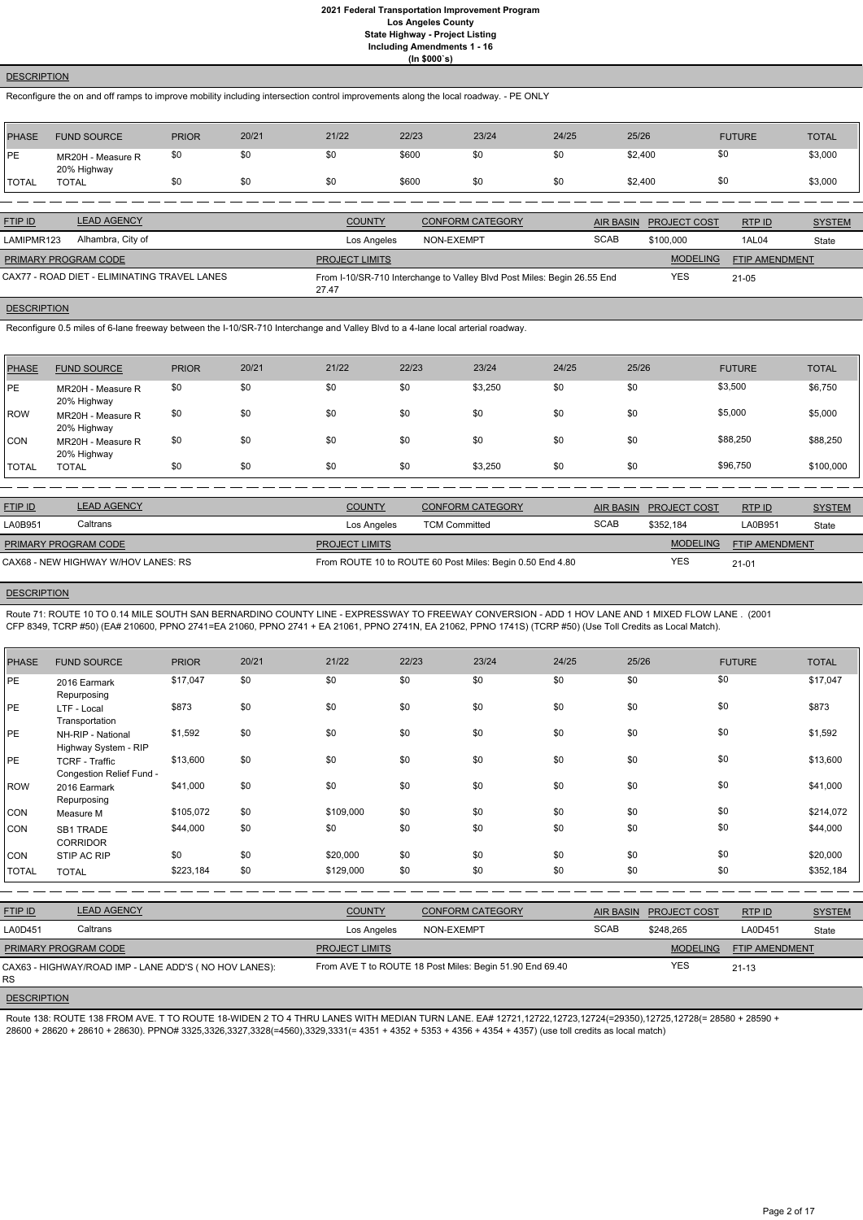### **DESCRIPTION**

Reconfigure the on and off ramps to improve mobility including intersection control improvements along the local roadway. - PE ONLY

| <b>PHASE</b> | <b>FUND SOURCE</b>               | <b>PRIOR</b> | 20/21 | 21/22 | 22/23 | 23/24 | 24/25 | 25/26   | <b>FUTURE</b> | <b>TOTAL</b> |
|--------------|----------------------------------|--------------|-------|-------|-------|-------|-------|---------|---------------|--------------|
| PE           | MR20H - Measure R<br>20% Highway | \$0          | \$0   | \$0   | \$600 | \$0   | \$0   | \$2,400 | \$0           | \$3,000      |
| TOTAL        | <b>TOTAL</b>                     | \$0          | \$0   | \$0   | \$600 | \$0   | \$0   | \$2,400 | \$0           | \$3,000      |

| <b>FTIP ID</b>       | <b>LEAD AGENCY</b>                           | <b>COUNTY</b>         | <b>CONFORM CATEGORY</b>                                                 |             | AIR BASIN PROJECT COST | RTP ID                | <b>SYSTEM</b> |
|----------------------|----------------------------------------------|-----------------------|-------------------------------------------------------------------------|-------------|------------------------|-----------------------|---------------|
| LAMIPMR123           | Alhambra, City of                            | Los Angeles           | NON-EXEMPT                                                              | <b>SCAB</b> | \$100,000              | 1AL04                 | State         |
| PRIMARY PROGRAM CODE |                                              | <b>PROJECT LIMITS</b> |                                                                         |             | <b>MODELING</b>        | <b>FTIP AMENDMENT</b> |               |
|                      | CAX77 - ROAD DIET - ELIMINATING TRAVEL LANES | 27.47                 | From I-10/SR-710 Interchange to Valley Blvd Post Miles: Begin 26.55 End |             | <b>YES</b>             | $21 - 05$             |               |

# **DESCRIPTION**

Reconfigure 0.5 miles of 6-lane freeway between the I-10/SR-710 Interchange and Valley Blvd to a 4-lane local arterial roadway.

| <b>PHASE</b> | <b>FUND SOURCE</b>               | <b>PRIOR</b> | 20/21 | 21/22 | 22/23 | 23/24   | 24/25 | 25/26 | <b>FUTURE</b> | <b>TOTAL</b> |
|--------------|----------------------------------|--------------|-------|-------|-------|---------|-------|-------|---------------|--------------|
| IPE          | MR20H - Measure R<br>20% Highway | \$0          | \$0   | \$0   | \$0   | \$3,250 | \$0   | \$0   | \$3,500       | \$6,750      |
| <b>IROW</b>  | MR20H - Measure R<br>20% Highway | \$0          | \$0   | \$0   | \$0   | \$0     | \$0   | \$0   | \$5,000       | \$5,000      |
| ICON         | MR20H - Measure R<br>20% Highway | \$0          | \$0   | \$0   | \$0   | \$0     | \$0   | \$0   | \$88,250      | \$88,250     |
| <b>TOTAL</b> | <b>TOTAL</b>                     | \$0          | \$0   | \$0   | \$0   | \$3,250 | \$0   | \$0   | \$96,750      | \$100,000    |

| <b>FTIP ID</b>              | <b>LEAD AGENCY</b>                  | <b>COUNTY</b>         | <b>CONFORM CATEGORY</b>                                   |             | AIR BASIN PROJECT COST | <b>RTPID</b>          | <b>SYSTEM</b> |
|-----------------------------|-------------------------------------|-----------------------|-----------------------------------------------------------|-------------|------------------------|-----------------------|---------------|
| LA0B951                     | Caltrans                            | Los Angeles           | <b>TCM Committed</b>                                      | <b>SCAB</b> | \$352.184              | A0B951                | State         |
| <b>PRIMARY PROGRAM CODE</b> |                                     | <b>PROJECT LIMITS</b> |                                                           |             | <b>MODELING</b>        | <b>FTIP AMENDMENT</b> |               |
|                             | CAX68 - NEW HIGHWAY W/HOV LANES: RS |                       | From ROUTE 10 to ROUTE 60 Post Miles: Begin 0.50 End 4.80 |             | <b>YES</b>             | $21 - 01$             |               |

### **DESCRIPTION**

Route 71: ROUTE 10 TO 0.14 MILE SOUTH SAN BERNARDINO COUNTY LINE - EXPRESSWAY TO FREEWAY CONVERSION - ADD 1 HOV LANE AND 1 MIXED FLOW LANE . (2001 CFP 8349, TCRP #50) (EA# 210600, PPNO 2741=EA 21060, PPNO 2741 + EA 21061, PPNO 2741N, EA 21062, PPNO 1741S) (TCRP #50) (Use Toll Credits as Local Match).

| <b>PHASE</b> | <b>FUND SOURCE</b>                                | <b>PRIOR</b> | 20/21 | 21/22     | 22/23 | 23/24 | 24/25 | 25/26 | <b>FUTURE</b> | <b>TOTAL</b> |
|--------------|---------------------------------------------------|--------------|-------|-----------|-------|-------|-------|-------|---------------|--------------|
| <b>PE</b>    | 2016 Earmark<br>Repurposing                       | \$17,047     | \$0   | \$0       | \$0   | \$0   | \$0   | \$0   | \$0           | \$17,047     |
| <b>PE</b>    | LTF - Local<br>Transportation                     | \$873        | \$0   | \$0       | \$0   | \$0   | \$0   | \$0   | \$0           | \$873        |
| PE           | NH-RIP - National<br>Highway System - RIP         | \$1,592      | \$0   | \$0       | \$0   | \$0   | \$0   | \$0   | \$0           | \$1,592      |
| PE           | <b>TCRF - Traffic</b><br>Congestion Relief Fund - | \$13,600     | \$0   | \$0       | \$0   | \$0   | \$0   | \$0   | \$0           | \$13,600     |
| <b>ROW</b>   | 2016 Earmark<br>Repurposing                       | \$41,000     | \$0   | \$0       | \$0   | \$0   | \$0   | \$0   | \$0           | \$41,000     |
| <b>CON</b>   | Measure M                                         | \$105,072    | \$0   | \$109,000 | \$0   | \$0   | \$0   | \$0   | \$0           | \$214,072    |
| <b>CON</b>   | <b>SB1 TRADE</b><br><b>CORRIDOR</b>               | \$44,000     | \$0   | \$0       | \$0   | \$0   | \$0   | \$0   | \$0           | \$44,000     |
| <b>CON</b>   | STIP AC RIP                                       | \$0          | \$0   | \$20,000  | \$0   | \$0   | \$0   | \$0   | \$0           | \$20,000     |
| <b>TOTAL</b> | <b>TOTAL</b>                                      | \$223,184    | \$0   | \$129,000 | \$0   | \$0   | \$0   | \$0   | \$0           | \$352,184    |

RTP ID

| LA0D451              | ا Caltrans                                            | Los Angeles           | NON-EXEMPT                                               | <b>SCAB</b> | \$248.265       | LA0D451               | State |
|----------------------|-------------------------------------------------------|-----------------------|----------------------------------------------------------|-------------|-----------------|-----------------------|-------|
| PRIMARY PROGRAM CODE |                                                       | <b>PROJECT LIMITS</b> |                                                          |             | <b>MODELING</b> | <b>FTIP AMENDMENT</b> |       |
| IRS                  | CAX63 - HIGHWAY/ROAD IMP - LANE ADD'S (NO HOV LANES): |                       | From AVE T to ROUTE 18 Post Miles: Begin 51.90 End 69.40 |             | YES             | $21 - 13$             |       |

#### **DESCRIPTION**

Route 138: ROUTE 138 FROM AVE. T TO ROUTE 18-WIDEN 2 TO 4 THRU LANES WITH MEDIAN TURN LANE. EA# 12721,12722,12723,12724(=29350),12725,12728(= 28580 + 28590 + 28600 + 28620 + 28610 + 28630). PPNO# 3325,3326,3327,3328(=4560),3329,3331(= 4351 + 4352 + 5353 + 4356 + 4354 + 4357) (use toll credits as local match)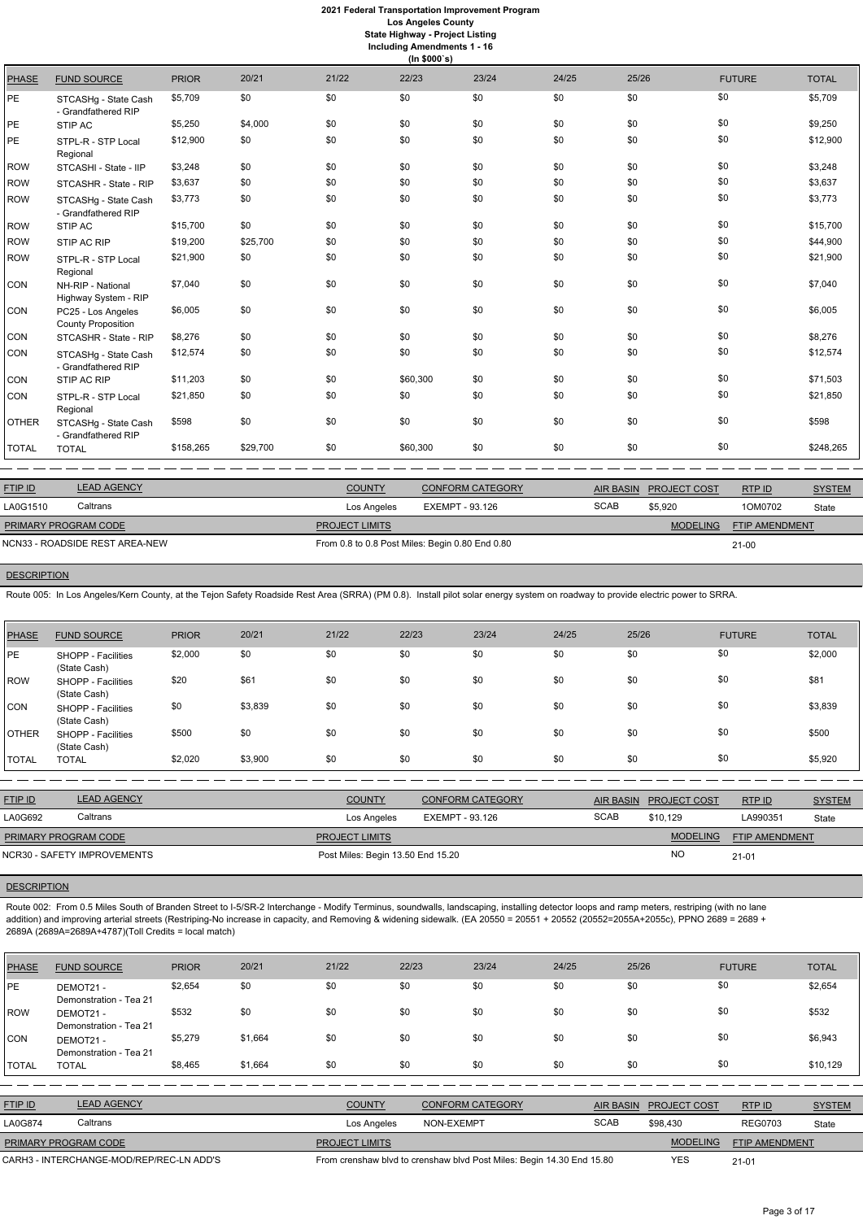|              | (ln \$000's)                                    |              |          |       |          |       |       |       |               |              |  |  |
|--------------|-------------------------------------------------|--------------|----------|-------|----------|-------|-------|-------|---------------|--------------|--|--|
| <b>PHASE</b> | <b>FUND SOURCE</b>                              | <b>PRIOR</b> | 20/21    | 21/22 | 22/23    | 23/24 | 24/25 | 25/26 | <b>FUTURE</b> | <b>TOTAL</b> |  |  |
| PE.          | STCASHg - State Cash<br>- Grandfathered RIP     | \$5,709      | \$0      | \$0   | \$0      | \$0   | \$0   | \$0   | \$0           | \$5,709      |  |  |
| PE           | STIP AC                                         | \$5,250      | \$4,000  | \$0   | \$0      | \$0   | \$0   | \$0   | \$0           | \$9,250      |  |  |
| PE.          | STPL-R - STP Local<br>Regional                  | \$12,900     | \$0      | \$0   | \$0      | \$0   | \$0   | \$0   | \$0           | \$12,900     |  |  |
| <b>ROW</b>   | STCASHI - State - IIP                           | \$3,248      | \$0      | \$0   | \$0      | \$0   | \$0   | \$0   | \$0           | \$3,248      |  |  |
| <b>ROW</b>   | STCASHR - State - RIP                           | \$3,637      | \$0      | \$0   | \$0      | \$0   | \$0   | \$0   | \$0           | \$3,637      |  |  |
| <b>ROW</b>   | STCASHg - State Cash<br>- Grandfathered RIP     | \$3,773      | \$0      | \$0   | \$0      | \$0   | \$0   | \$0   | \$0           | \$3,773      |  |  |
| <b>ROW</b>   | STIP AC                                         | \$15,700     | \$0      | \$0   | \$0      | \$0   | \$0   | \$0   | \$0           | \$15,700     |  |  |
| <b>ROW</b>   | STIP AC RIP                                     | \$19,200     | \$25,700 | \$0   | \$0      | \$0   | \$0   | \$0   | \$0           | \$44,900     |  |  |
| <b>ROW</b>   | STPL-R - STP Local<br>Regional                  | \$21,900     | \$0      | \$0   | \$0      | \$0   | \$0   | \$0   | \$0           | \$21,900     |  |  |
| CON          | NH-RIP - National<br>Highway System - RIP       | \$7,040      | \$0      | \$0   | \$0      | \$0   | \$0   | \$0   | \$0           | \$7,040      |  |  |
| CON          | PC25 - Los Angeles<br><b>County Proposition</b> | \$6,005      | \$0      | \$0   | \$0      | \$0   | \$0   | \$0   | \$0           | \$6,005      |  |  |
| CON          | STCASHR - State - RIP                           | \$8,276      | \$0      | \$0   | \$0      | \$0   | \$0   | \$0   | \$0           | \$8,276      |  |  |
| CON          | STCASHg - State Cash<br>- Grandfathered RIP     | \$12,574     | \$0      | \$0   | \$0      | \$0   | \$0   | \$0   | \$0           | \$12,574     |  |  |
| CON          | STIP AC RIP                                     | \$11,203     | \$0      | \$0   | \$60,300 | \$0   | \$0   | \$0   | \$0           | \$71,503     |  |  |
| CON          | STPL-R - STP Local<br>Regional                  | \$21,850     | \$0      | \$0   | \$0      | \$0   | \$0   | \$0   | \$0           | \$21,850     |  |  |
| <b>OTHER</b> | STCASHg - State Cash<br>- Grandfathered RIP     | \$598        | \$0      | \$0   | \$0      | \$0   | \$0   | \$0   | \$0           | \$598        |  |  |
| <b>TOTAL</b> | <b>TOTAL</b>                                    | \$158,265    | \$29,700 | \$0   | \$60,300 | \$0   | \$0   | \$0   | \$0           | \$248,265    |  |  |

| <b>FTIP ID</b>                 | <b>LEAD AGENCY</b> | <b>COUNTY</b>                                   | <b>CONFORM CATEGORY</b> | <b>AIR BASIN</b> | <b>PROJECT COST</b> | RTPID                 | <b>SYSTEM</b> |
|--------------------------------|--------------------|-------------------------------------------------|-------------------------|------------------|---------------------|-----------------------|---------------|
| LA0G1510                       | Caltrans           | Los Angeles                                     | EXEMPT - 93.126         | <b>SCAB</b>      | \$5.920             | 1OM0702               | State         |
| PRIMARY PROGRAM CODE           |                    | <b>PROJECT LIMITS</b>                           |                         |                  | <b>MODELING</b>     | <b>FTIP AMENDMENT</b> |               |
| NCN33 - ROADSIDE REST AREA-NEW |                    | From 0.8 to 0.8 Post Miles: Begin 0.80 End 0.80 |                         | $21 - 00$        |                     |                       |               |

## **DESCRIPTION**

Route 005: In Los Angeles/Kern County, at the Tejon Safety Roadside Rest Area (SRRA) (PM 0.8). Install pilot solar energy system on roadway to provide electric power to SRRA.

| <b>PHASE</b> | <b>FUND SOURCE</b>                 | <b>PRIOR</b> | 20/21   | 21/22 | 22/23 | 23/24 | 24/25 | 25/26 | <b>FUTURE</b> | <b>TOTAL</b> |
|--------------|------------------------------------|--------------|---------|-------|-------|-------|-------|-------|---------------|--------------|
| <b>IPE</b>   | SHOPP - Facilities<br>(State Cash) | \$2,000      | \$0     | \$0   | \$0   | \$0   | \$0   | \$0   | \$0           | \$2,000      |
| ROW          | SHOPP - Facilities<br>(State Cash) | \$20         | \$61    | \$0   | \$0   | \$0   | \$0   | \$0   | \$0           | \$81         |
| CON          | SHOPP - Facilities<br>(State Cash) | \$0          | \$3,839 | \$0   | \$0   | \$0   | \$0   | \$0   | \$0           | \$3,839      |
| <b>OTHER</b> | SHOPP - Facilities<br>(State Cash) | \$500        | \$0     | \$0   | \$0   | \$0   | \$0   | \$0   | \$0           | \$500        |
| <b>TOTAL</b> | <b>TOTAL</b>                       | \$2,020      | \$3,900 | \$0   | \$0   | \$0   | \$0   | \$0   | \$0           | \$5,920      |

| <b>FTIP ID</b>       | <b>LEAD AGENCY</b>          | <b>COUNTY</b>                     | <b>CONFORM CATEGORY</b> |             | AIR BASIN PROJECT COST | RTP ID                | <b>SYSTEM</b> |
|----------------------|-----------------------------|-----------------------------------|-------------------------|-------------|------------------------|-----------------------|---------------|
| LA0G692              | Caltrans                    | Los Angeles                       | EXEMPT - 93.126         | <b>SCAB</b> | \$10.129               | LA990351              | State         |
| PRIMARY PROGRAM CODE |                             | <b>PROJECT LIMITS</b>             |                         |             | <b>MODELING</b>        | <b>FTIP AMENDMENT</b> |               |
|                      | NCR30 - SAFETY IMPROVEMENTS | Post Miles: Begin 13.50 End 15.20 |                         |             | N <sub>O</sub>         | $21 - 01$             |               |

# **DESCRIPTION**

Route 002: From 0.5 Miles South of Branden Street to I-5/SR-2 Interchange - Modify Terminus, soundwalls, landscaping, installing detector loops and ramp meters, restriping (with no lane addition) and improving arterial streets (Restriping-No increase in capacity, and Removing & widening sidewalk. (EA 20550 = 20551 + 20552 (20552=2055A+2055c), PPNO 2689 = 2689 +

2689A (2689A=2689A+4787)(Toll Credits = local match)

| <b>PHASE</b>   | <b>FUND SOURCE</b>                       | <b>PRIOR</b> | 20/21   | 21/22                                                                 | 22/23      | 23/24                   | 24/25 | 25/26            |                     | <b>FUTURE</b>  | <b>TOTAL</b>  |
|----------------|------------------------------------------|--------------|---------|-----------------------------------------------------------------------|------------|-------------------------|-------|------------------|---------------------|----------------|---------------|
| <b>IPE</b>     | DEMOT21-<br>Demonstration - Tea 21       | \$2,654      | \$0     | \$0                                                                   | \$0        | \$0                     | \$0   | \$0              |                     | \$0            | \$2,654       |
| <b>IROW</b>    | DEMOT21-<br>Demonstration - Tea 21       | \$532        | \$0     | \$0                                                                   | \$0        | \$0                     | \$0   | \$0              |                     | \$0            | \$532         |
| <b>CON</b>     | DEMOT21-<br>Demonstration - Tea 21       | \$5,279      | \$1,664 | \$0                                                                   | \$0        | \$0                     | \$0   | \$0              |                     | \$0            | \$6,943       |
| <b>TOTAL</b>   | <b>TOTAL</b>                             | \$8,465      | \$1,664 | \$0                                                                   | \$0        | \$0                     | \$0   | \$0              |                     | \$0            | \$10,129      |
|                |                                          |              |         |                                                                       |            |                         |       |                  |                     |                |               |
| <b>FTIP ID</b> | <b>LEAD AGENCY</b>                       |              |         | <b>COUNTY</b>                                                         |            | <b>CONFORM CATEGORY</b> |       | <b>AIR BASIN</b> | <b>PROJECT COST</b> | RTP ID         | <b>SYSTEM</b> |
| LA0G874        | Caltrans                                 |              |         | Los Angeles                                                           | NON-EXEMPT |                         |       | <b>SCAB</b>      | \$98,430            | <b>REG0703</b> | State         |
|                | PRIMARY PROGRAM CODE                     |              |         | <b>PROJECT LIMITS</b>                                                 |            |                         |       |                  | <b>MODELING</b>     | FTIP AMENDMENT |               |
|                | CARH3 - INTERCHANGE-MOD/REP/REC-LN ADD'S |              |         | From crenshaw blvd to crenshaw blvd Post Miles: Begin 14.30 End 15.80 |            |                         |       | <b>YES</b>       | $21 - 01$           |                |               |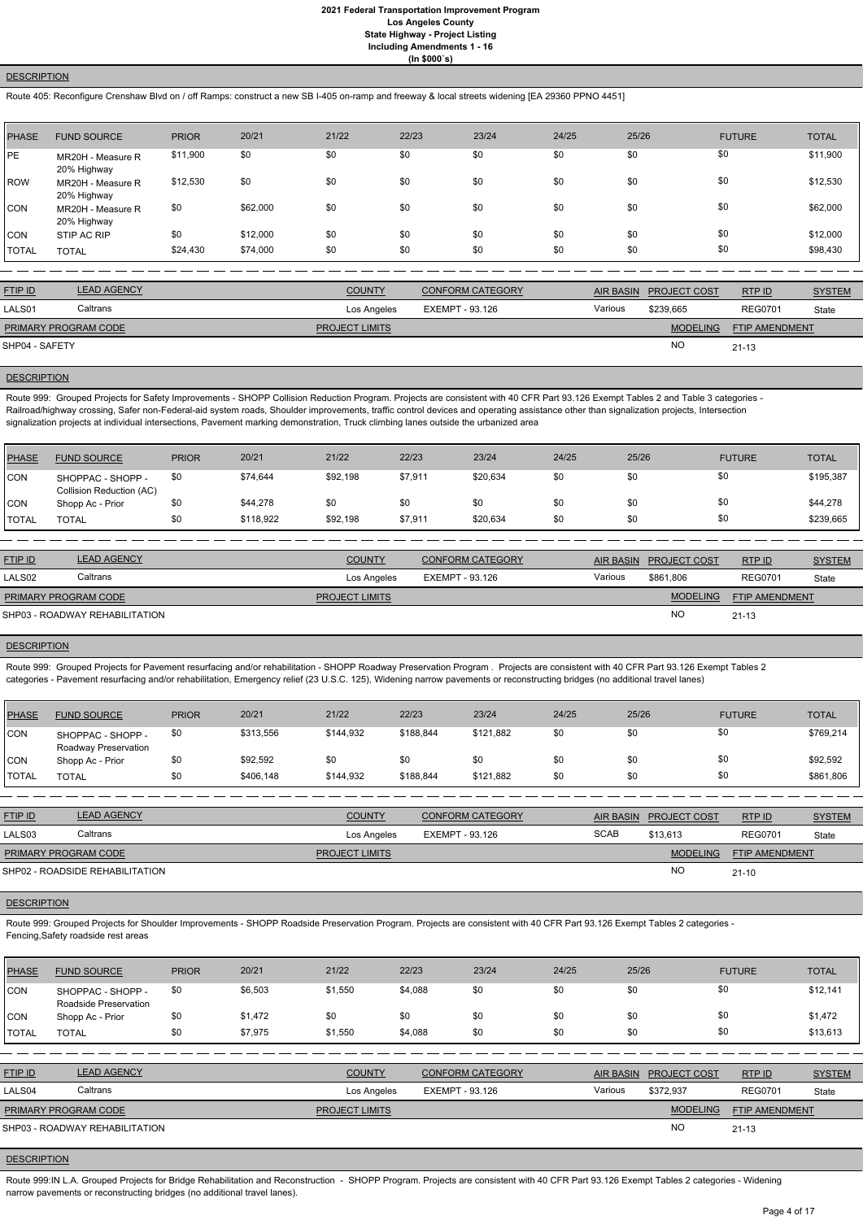### **DESCRIPTION**

Route 405: Reconfigure Crenshaw Blvd on / off Ramps: construct a new SB I-405 on-ramp and freeway & local streets widening [EA 29360 PPNO 4451]

| PHASE        | <b>FUND SOURCE</b>               | <b>PRIOR</b> | 20/21    | 21/22 | 22/23 | 23/24 | 24/25 | 25/26 | <b>FUTURE</b> | <b>TOTAL</b> |
|--------------|----------------------------------|--------------|----------|-------|-------|-------|-------|-------|---------------|--------------|
| PE           | MR20H - Measure R<br>20% Highway | \$11,900     | \$0      | \$0   | \$0   | \$0   | \$0   | \$0   | \$0           | \$11,900     |
| ROW          | MR20H - Measure R<br>20% Highway | \$12,530     | \$0      | \$0   | \$0   | \$0   | \$0   | \$0   | \$0           | \$12,530     |
| <b>CON</b>   | MR20H - Measure R<br>20% Highway | \$0          | \$62,000 | \$0   | \$0   | \$0   | \$0   | \$0   | \$0           | \$62,000     |
| <b>CON</b>   | STIP AC RIP                      | \$0          | \$12,000 | \$0   | \$0   | \$0   | \$0   | \$0   | \$0           | \$12,000     |
| <b>TOTAL</b> | <b>TOTAL</b>                     | \$24,430     | \$74,000 | \$0   | \$0   | \$0   | \$0   | \$0   | \$0           | \$98,430     |

Route 999: Grouped Projects for Safety Improvements - SHOPP Collision Reduction Program. Projects are consistent with 40 CFR Part 93.126 Exempt Tables 2 and Table 3 categories -Railroad/highway crossing, Safer non-Federal-aid system roads, Shoulder improvements, traffic control devices and operating assistance other than signalization projects, Intersection signalization projects at individual intersections, Pavement marking demonstration, Truck climbing lanes outside the urbanized area

| <b>FTIP ID</b>       | <b>LEAD AGENCY</b> | <b>COUNTY</b>         | <b>CONFORM CATEGORY</b> |         | AIR BASIN PROJECT COST | RTP ID                | <b>SYSTEM</b> |
|----------------------|--------------------|-----------------------|-------------------------|---------|------------------------|-----------------------|---------------|
| LALS01               | Caltrans           | Los Angeles           | EXEMPT - 93.126         | Various | \$239,665              | <b>REG0701</b>        | State         |
| PRIMARY PROGRAM CODE |                    | <b>PROJECT LIMITS</b> |                         |         | <b>MODELING</b>        | <b>FTIP AMENDMENT</b> |               |
| SHP04 - SAFETY       |                    |                       |                         |         | <sub>NO</sub>          | $21 - 13$             |               |

# **DESCRIPTION**

| PHASE          | <b>FUND SOURCE</b>                            | <b>PRIOR</b> | 20/21     | 21/22    | 22/23   | 23/24    | 24/25 | 25/26 | <b>FUTURE</b> | <b>TOTAL</b> |
|----------------|-----------------------------------------------|--------------|-----------|----------|---------|----------|-------|-------|---------------|--------------|
| CON            | SHOPPAC - SHOPP -<br>Collision Reduction (AC) | \$0          | \$74,644  | \$92,198 | \$7,911 | \$20,634 | \$0   | \$0   | \$0           | \$195,387    |
| CON            | Shopp Ac - Prior                              | \$0          | \$44,278  | \$0      | \$0     | \$0      | \$0   | \$0   | \$0           | \$44,278     |
| <b>!</b> TOTAL | TOTAL                                         | \$0          | \$118,922 | \$92,198 | \$7,911 | \$20,634 | \$0   | \$0   | \$0           | \$239,665    |

| <b>FTIP ID</b>              | <b>LEAD AGENCY</b>             | <b>COUNTY</b>         | <b>CONFORM CATEGORY</b> |         | AIR BASIN PROJECT COST | RTP ID                | <b>SYSTEM</b> |
|-----------------------------|--------------------------------|-----------------------|-------------------------|---------|------------------------|-----------------------|---------------|
| LALS <sub>02</sub>          | Caltrans                       | Los Angeles           | EXEMPT - 93.126         | Various | \$861.806              | <b>REG0701</b>        | State         |
| <b>PRIMARY PROGRAM CODE</b> |                                | <b>PROJECT LIMITS</b> |                         |         | <b>MODELING</b>        | <b>FTIP AMENDMENT</b> |               |
|                             | SHP03 - ROADWAY REHABILITATION |                       |                         |         | <b>NO</b>              | $21 - 13$             |               |

### **DESCRIPTION**

Route 999:IN L.A. Grouped Projects for Bridge Rehabilitation and Reconstruction - SHOPP Program. Projects are consistent with 40 CFR Part 93.126 Exempt Tables 2 categories - Widening narrow pavements or reconstructing bridges (no additional travel lanes).

Route 999: Grouped Projects for Pavement resurfacing and/or rehabilitation - SHOPP Roadway Preservation Program . Projects are consistent with 40 CFR Part 93.126 Exempt Tables 2 categories - Pavement resurfacing and/or rehabilitation, Emergency relief (23 U.S.C. 125), Widening narrow pavements or reconstructing bridges (no additional travel lanes)

| PHASE        | <b>FUND SOURCE</b>                        | <b>PRIOR</b> | 20/21     | 21/22     | 22/23     | 23/24     | 24/25 | 25/26 | <b>FUTURE</b> | <b>TOTAL</b> |
|--------------|-------------------------------------------|--------------|-----------|-----------|-----------|-----------|-------|-------|---------------|--------------|
| CON          | SHOPPAC - SHOPP -<br>Roadway Preservation | \$0          | \$313,556 | \$144,932 | \$188,844 | \$121,882 | \$0   | \$0   | \$0           | \$769,214    |
| <b>CON</b>   | Shopp Ac - Prior                          | \$0          | \$92,592  | \$0       | \$0       | \$0       | \$0   | \$0   | \$0           | \$92,592     |
| <b>TOTAL</b> | <b>TOTAL</b>                              | \$0          | \$406,148 | \$144,932 | \$188,844 | \$121,882 | \$0   | \$0   | \$0           | \$861,806    |

| <b>FTIP ID</b>       | <b>LEAD AGENCY</b>              | <b>COUNTY</b>         | <b>CONFORM CATEGORY</b> |             | AIR BASIN PROJECT COST | <b>RTPID</b>          | <b>SYSTEM</b> |
|----------------------|---------------------------------|-----------------------|-------------------------|-------------|------------------------|-----------------------|---------------|
| LALS03               | Caltrans                        | Los Angeles           | EXEMPT - 93.126         | <b>SCAB</b> | \$13.613               | <b>REG0701</b>        | State         |
| PRIMARY PROGRAM CODE |                                 | <b>PROJECT LIMITS</b> |                         |             | <b>MODELING</b>        | <b>FTIP AMENDMENT</b> |               |
|                      | SHP02 - ROADSIDE REHABILITATION |                       |                         |             | N <sub>O</sub>         | $21 - 10$             |               |

# **DESCRIPTION**

Route 999: Grouped Projects for Shoulder Improvements - SHOPP Roadside Preservation Program. Projects are consistent with 40 CFR Part 93.126 Exempt Tables 2 categories - Fencing,Safety roadside rest areas

| <b>PHASE</b>   | <b>FUND SOURCE</b>                         | <b>PRIOR</b> | 20/21   | 21/22                 | 22/23                  | 23/24                   | 24/25   | 25/26            |                     | <b>FUTURE</b>  | <b>TOTAL</b>  |
|----------------|--------------------------------------------|--------------|---------|-----------------------|------------------------|-------------------------|---------|------------------|---------------------|----------------|---------------|
| CON            | SHOPPAC - SHOPP -<br>Roadside Preservation | \$0          | \$6,503 | \$1,550               | \$4,088                | \$0                     | \$0     | \$0              | \$0                 |                | \$12,141      |
| CON            | Shopp Ac - Prior                           | \$0          | \$1,472 | \$0                   | \$0                    | \$0                     | \$0     | \$0              | \$0                 |                | \$1,472       |
| <b>TOTAL</b>   | <b>TOTAL</b>                               | \$0          | \$7,975 | \$1,550               | \$4,088                | \$0                     | \$0     | \$0              | \$0                 |                | \$13,613      |
|                |                                            |              |         |                       |                        |                         |         |                  |                     |                |               |
| <b>FTIP ID</b> | <b>LEAD AGENCY</b>                         |              |         | <b>COUNTY</b>         |                        | <b>CONFORM CATEGORY</b> |         | <b>AIR BASIN</b> | <b>PROJECT COST</b> | RTP ID         | <b>SYSTEM</b> |
| LALS04         | Caltrans                                   |              |         | Los Angeles           | <b>EXEMPT - 93.126</b> |                         | Various |                  | \$372.937           | <b>REG0701</b> | State         |
|                | PRIMARY PROGRAM CODE                       |              |         | <b>PROJECT LIMITS</b> |                        |                         |         |                  | <b>MODELING</b>     | FTIP AMENDMENT |               |
|                | SHP03 - ROADWAY REHABILITATION             |              |         |                       |                        |                         |         |                  | <b>NO</b>           | $21 - 13$      |               |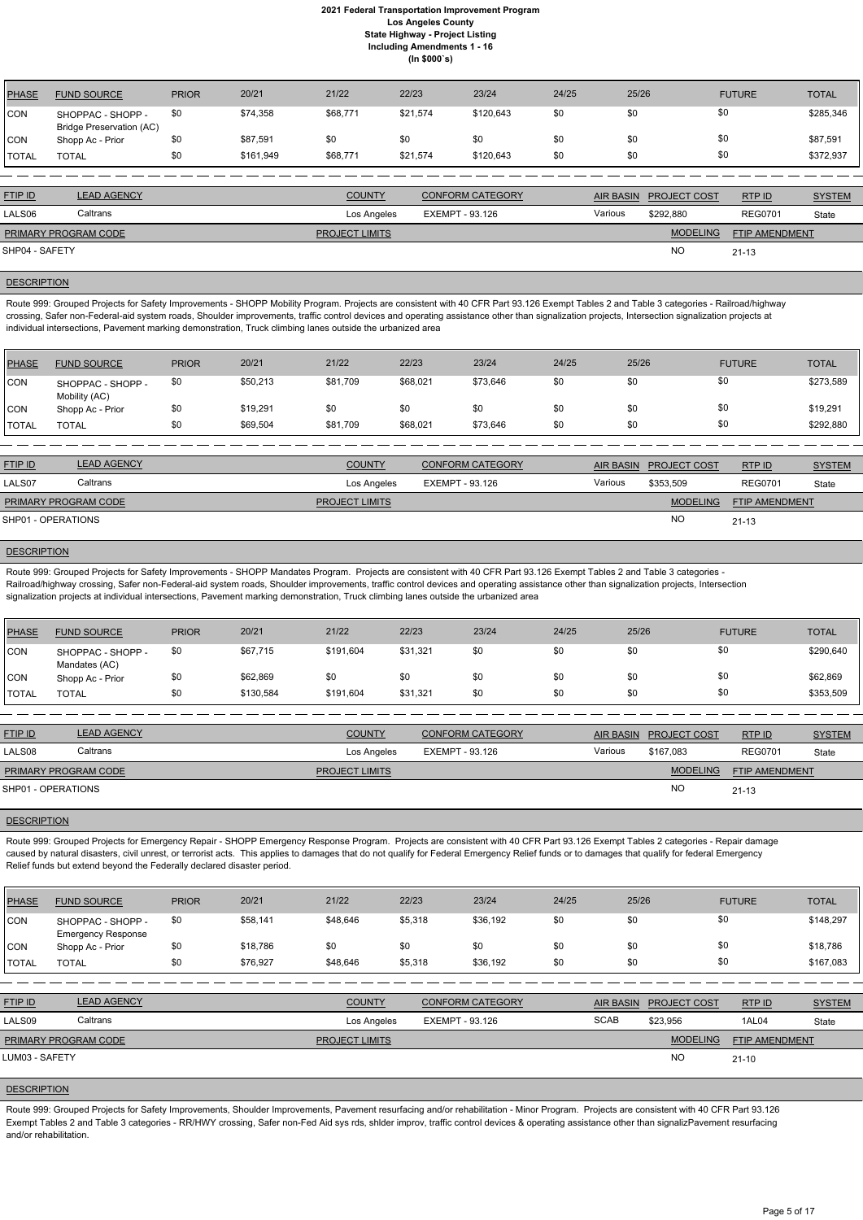| PHASE        | <b>FUND SOURCE</b>                                   | <b>PRIOR</b> | 20/21     | 21/22    | 22/23    | 23/24     | 24/25 | 25/26 | <b>FUTURE</b> | <b>TOTAL</b> |
|--------------|------------------------------------------------------|--------------|-----------|----------|----------|-----------|-------|-------|---------------|--------------|
| <b>CON</b>   | SHOPPAC - SHOPP -<br><b>Bridge Preservation (AC)</b> | \$0          | \$74,358  | \$68,771 | \$21,574 | \$120,643 | \$0   | \$0   | \$0           | \$285,346    |
| <b>CON</b>   | Shopp Ac - Prior                                     | \$0          | \$87,591  | \$0      | \$0      | \$0       | \$0   | \$0   | \$0           | \$87,591     |
| <b>TOTAL</b> | TOTAL                                                | \$0          | \$161,949 | \$68,771 | \$21,574 | \$120,643 | \$0   | \$0   | \$0           | \$372,937    |

| <b>FTIP ID</b>              | <b>LEAD AGENCY</b> | <b>COUNTY</b>         | <b>CONFORM CATEGORY</b> |         | AIR BASIN PROJECT COST | RTPID                 | <b>SYSTEM</b> |
|-----------------------------|--------------------|-----------------------|-------------------------|---------|------------------------|-----------------------|---------------|
| LALS <sub>06</sub>          | Caltrans           | Los Angeles           | EXEMPT - 93.126         | Various | \$292.880              | <b>REG0701</b>        | State         |
| <b>PRIMARY PROGRAM CODE</b> |                    | <b>PROJECT LIMITS</b> |                         |         | <b>MODELING</b>        | <b>FTIP AMENDMENT</b> |               |
| SHP04 - SAFETY              |                    |                       |                         |         | <b>NO</b>              | $21 - 13$             |               |

#### **DESCRIPTION**

Route 999: Grouped Projects for Safety Improvements - SHOPP Mobility Program. Projects are consistent with 40 CFR Part 93.126 Exempt Tables 2 and Table 3 categories - Railroad/highway crossing, Safer non-Federal-aid system roads, Shoulder improvements, traffic control devices and operating assistance other than signalization projects, Intersection signalization projects at individual intersections, Pavement marking demonstration, Truck climbing lanes outside the urbanized area

| <b>PHASE</b>  | <b>FUND SOURCE</b>                 | <b>PRIOR</b> | 20/21    | 21/22    | 22/23    | 23/24    | 24/25 | 25/26 | <b>FUTURE</b> | <b>TOTAL</b> |
|---------------|------------------------------------|--------------|----------|----------|----------|----------|-------|-------|---------------|--------------|
| CON           | SHOPPAC - SHOPP -<br>Mobility (AC) | \$0          | \$50,213 | \$81,709 | \$68,021 | \$73,646 | \$0   | \$0   | \$0           | \$273,589    |
| CON           | Shopp Ac - Prior                   | \$0          | \$19,291 | \$0      | \$0      | \$0      | \$0   | \$0   | \$0           | \$19,291     |
| <b>ITOTAL</b> | <b>TOTAL</b>                       | \$0          | \$69,504 | \$81,709 | \$68,021 | \$73,646 | \$0   | \$0   | \$0           | \$292,880    |

Route 999: Grouped Projects for Emergency Repair - SHOPP Emergency Response Program. Projects are consistent with 40 CFR Part 93.126 Exempt Tables 2 categories - Repair damage caused by natural disasters, civil unrest, or terrorist acts. This applies to damages that do not qualify for Federal Emergency Relief funds or to damages that qualify for federal Emergency Relief funds but extend beyond the Federally declared disaster period.

| <b>FTIP ID</b>              | <b>LEAD AGENCY</b> | <b>COUNTY</b>         | <b>CONFORM CATEGORY</b> |         | AIR BASIN PROJECT COST | RTPID          | <b>SYSTEM</b> |
|-----------------------------|--------------------|-----------------------|-------------------------|---------|------------------------|----------------|---------------|
| LALS07                      | Caltrans           | Los Angeles           | EXEMPT - 93.126         | Various | \$353,509              | <b>REG0701</b> | State         |
| <b>PRIMARY PROGRAM CODE</b> |                    | <b>PROJECT LIMITS</b> |                         |         | <b>MODELING</b>        | FTIP AMENDMENT |               |
| SHP01 - OPERATIONS          |                    |                       |                         |         | NC                     | $21 - 13$      |               |

### **DESCRIPTION**

Route 999: Grouped Projects for Safety Improvements - SHOPP Mandates Program. Projects are consistent with 40 CFR Part 93.126 Exempt Tables 2 and Table 3 categories - Railroad/highway crossing, Safer non-Federal-aid system roads, Shoulder improvements, traffic control devices and operating assistance other than signalization projects, Intersection signalization projects at individual intersections, Pavement marking demonstration, Truck climbing lanes outside the urbanized area

Route 999: Grouped Projects for Safety Improvements, Shoulder Improvements, Pavement resurfacing and/or rehabilitation - Minor Program. Projects are consistent with 40 CFR Part 93.126 Exempt Tables 2 and Table 3 categories - RR/HWY crossing, Safer non-Fed Aid sys rds, shlder improv, traffic control devices & operating assistance other than signalizPavement resurfacing and/or rehabilitation.

| PHASE        | <b>FUND SOURCE</b>                 | <b>PRIOR</b> | 20/21     | 21/22     | 22/23    | 23/24 | 24/25 | 25/26 | <b>FUTURE</b> | <b>TOTAL</b> |
|--------------|------------------------------------|--------------|-----------|-----------|----------|-------|-------|-------|---------------|--------------|
| <b>CON</b>   | SHOPPAC - SHOPP -<br>Mandates (AC) | \$0          | \$67,715  | \$191,604 | \$31,321 | \$0   | \$0   | \$0   | \$0           | \$290,640    |
| <b>CON</b>   | Shopp Ac - Prior                   | \$0          | \$62,869  | \$0       | \$0      | \$0   | \$0   | \$0   | \$0           | \$62,869     |
| <b>TOTAL</b> | TOTAL                              | \$0          | \$130,584 | \$191,604 | \$31,321 | \$0   | \$0   | \$0   | \$0           | \$353,509    |

| <b>FTIP ID</b>              | <b>LEAD AGENCY</b> | <b>COUNTY</b>         | <b>CONFORM CATEGORY</b> | <b>AIR BASIN</b> | <b>PROJECT COST</b> | RTP ID                | <b>SYSTEM</b> |
|-----------------------------|--------------------|-----------------------|-------------------------|------------------|---------------------|-----------------------|---------------|
| LALS08                      | Caltrans           | Los Angeles           | EXEMPT - 93.126         | Various          | \$167.083           | <b>REG0701</b>        | State         |
| <b>PRIMARY PROGRAM CODE</b> |                    | <b>PROJECT LIMITS</b> |                         |                  | <b>MODELING</b>     | <b>FTIP AMENDMENT</b> |               |
| SHP01 - OPERATIONS          |                    |                       |                         |                  | <b>NO</b>           | $21 - 13$             |               |

#### **DESCRIPTION**

| <b>PHASE</b>   | <b>FUND SOURCE</b>                             | <b>PRIOR</b> | 20/21    | 21/22                 | 22/23           | 23/24                   | 24/25       | 25/26            |                     | <b>FUTURE</b>         | <b>TOTAL</b>  |
|----------------|------------------------------------------------|--------------|----------|-----------------------|-----------------|-------------------------|-------------|------------------|---------------------|-----------------------|---------------|
| ICON           | SHOPPAC - SHOPP -<br><b>Emergency Response</b> | \$0          | \$58,141 | \$48,646              | \$5,318         | \$36,192                | \$0         | \$0              |                     | \$0                   | \$148,297     |
| CON            | Shopp Ac - Prior                               | \$0          | \$18,786 | \$0                   | \$0             | \$0                     | \$0         | \$0              |                     | \$0                   | \$18,786      |
| <b>TOTAL</b>   | <b>TOTAL</b>                                   | \$0          | \$76,927 | \$48,646              | \$5,318         | \$36,192                | \$0         | \$0              |                     | \$0                   | \$167,083     |
|                |                                                |              |          |                       |                 |                         |             |                  |                     |                       |               |
| FTIP ID        | <b>LEAD AGENCY</b>                             |              |          | <b>COUNTY</b>         |                 | <b>CONFORM CATEGORY</b> |             | <b>AIR BASIN</b> | <b>PROJECT COST</b> | RTPID                 | <b>SYSTEM</b> |
| LALS09         | Caltrans                                       |              |          | Los Angeles           | EXEMPT - 93.126 |                         | <b>SCAB</b> |                  | \$23,956            | 1AL04                 | State         |
|                | <b>PRIMARY PROGRAM CODE</b>                    |              |          | <b>PROJECT LIMITS</b> |                 |                         |             |                  | <b>MODELING</b>     | <b>FTIP AMENDMENT</b> |               |
| LUM03 - SAFETY |                                                |              |          |                       |                 |                         |             |                  | <b>NO</b>           | $21 - 10$             |               |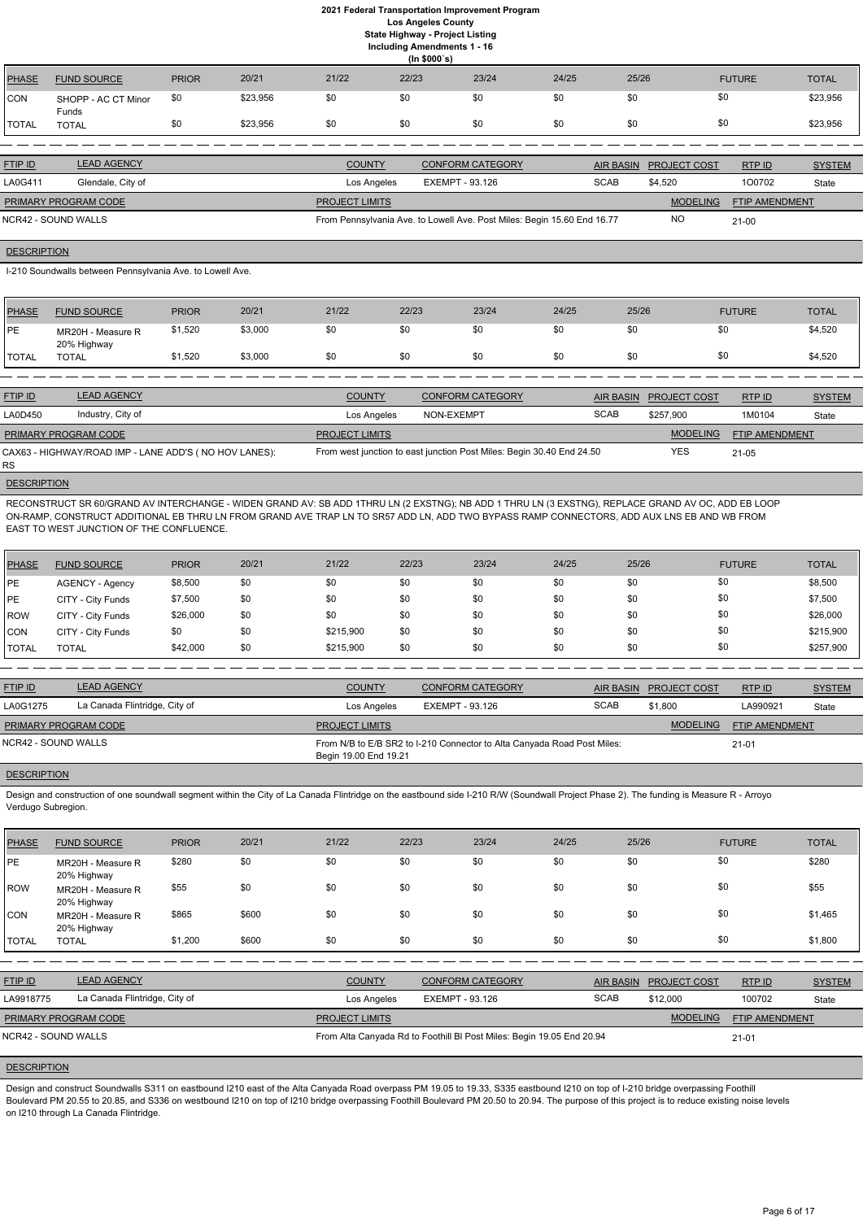|                |                              |              |          |               | (ln \$000's) |                         |           |                     |               |               |
|----------------|------------------------------|--------------|----------|---------------|--------------|-------------------------|-----------|---------------------|---------------|---------------|
| <b>PHASE</b>   | <b>FUND SOURCE</b>           | <b>PRIOR</b> | 20/21    | 21/22         | 22/23        | 23/24                   | 24/25     | 25/26               | <b>FUTURE</b> | <b>TOTAL</b>  |
| <b>CON</b>     | SHOPP - AC CT Minor<br>Funds | \$0          | \$23,956 | \$0           | \$0          | \$0                     | \$0       | \$0                 | \$0           | \$23,956      |
| TOTAL          | <b>TOTAL</b>                 | \$0          | \$23,956 | \$0           | \$0          | -\$0                    | \$0       | \$0                 | \$0           | \$23,956      |
|                |                              |              |          |               |              |                         |           |                     |               |               |
| <b>FTIP ID</b> | <b>LEAD AGENCY</b>           |              |          | <b>COUNTY</b> |              | <b>CONFORM CATEGORY</b> | AIR BASIN | <b>PROJECT COST</b> | RTP ID        | <b>SYSTEM</b> |

| LA0G411                     | Glendale, City of | Los Angeles           | EXEMPT - 93.126                                                         | <b>SCAB</b> | \$4.520         | 100702                | State |
|-----------------------------|-------------------|-----------------------|-------------------------------------------------------------------------|-------------|-----------------|-----------------------|-------|
| <b>PRIMARY PROGRAM CODE</b> |                   | <b>PROJECT LIMITS</b> |                                                                         |             | <b>MODELING</b> | <b>FTIP AMENDMENT</b> |       |
| NCR42 - SOUND WALLS         |                   |                       | From Pennsylvania Ave. to Lowell Ave. Post Miles: Begin 15.60 End 16.77 |             | <b>NC</b>       | $21 - 00$             |       |

#### **DESCRIPTION**

I-210 Soundwalls between Pennsylvania Ave. to Lowell Ave.

| <b>PHASE</b> | <b>FUND SOURCE</b>               | <b>PRIOR</b> | 20/21   | 21/22 | 22/23 | 23/24 | 24/25 | 25/26 | <b>FUTURE</b> | <b>TOTAL</b> |
|--------------|----------------------------------|--------------|---------|-------|-------|-------|-------|-------|---------------|--------------|
| <b>IPE</b>   | MR20H - Measure R<br>20% Highway | \$1,520      | \$3,000 | \$0   | \$0   | \$0   | \$0   |       | \$0           | \$4,520      |
| <b>TOTAL</b> | TOTAL                            | \$1,520      | \$3,000 | \$0   | \$0   | \$0   | \$0   |       | \$0           | \$4,520      |

| <b>FTIP ID</b>       | <b>LEAD AGENCY</b>                                    | <b>COUNTY</b>         | <b>CONFORM CATEGORY</b>                                               |             | AIR BASIN PROJECT COST | RTP ID         | <b>SYSTEM</b> |
|----------------------|-------------------------------------------------------|-----------------------|-----------------------------------------------------------------------|-------------|------------------------|----------------|---------------|
| LA0D450              | Industry, City of                                     | Los Angeles           | NON-EXEMPT                                                            | <b>SCAB</b> | \$257,900              | 1M0104         | State         |
| PRIMARY PROGRAM CODE |                                                       | <b>PROJECT LIMITS</b> |                                                                       |             | <b>MODELING</b>        | FTIP AMENDMENT |               |
| RS.                  | CAX63 - HIGHWAY/ROAD IMP - LANE ADD'S (NO HOV LANES): |                       | From west junction to east junction Post Miles: Begin 30.40 End 24.50 |             | <b>YES</b>             | 21-05          |               |

# **DESCRIPTION**

Design and construction of one soundwall segment within the City of La Canada Flintridge on the eastbound side I-210 R/W (Soundwall Project Phase 2). The funding is Measure R - Arroyo Verdugo Subregion.

RECONSTRUCT SR 60/GRAND AV INTERCHANGE - WIDEN GRAND AV: SB ADD 1THRU LN (2 EXSTNG); NB ADD 1 THRU LN (3 EXSTNG), REPLACE GRAND AV OC, ADD EB LOOP ON-RAMP, CONSTRUCT ADDITIONAL EB THRU LN FROM GRAND AVE TRAP LN TO SR57 ADD LN, ADD TWO BYPASS RAMP CONNECTORS, ADD AUX LNS EB AND WB FROM EAST TO WEST JUNCTION OF THE CONFLUENCE.

| PHASE        | <b>FUND SOURCE</b> | <b>PRIOR</b> | 20/21 | 21/22     | 22/23 | 23/24 | 24/25 | 25/26 | <b>FUTURE</b> | <b>TOTAL</b> |
|--------------|--------------------|--------------|-------|-----------|-------|-------|-------|-------|---------------|--------------|
| <b>PE</b>    | AGENCY - Agency    | \$8,500      | \$0   | \$0       | \$0   | \$0   | \$0   | \$0   | \$0           | \$8,500      |
| <b>IPE</b>   | CITY - City Funds  | \$7,500      | \$0   | \$0       | \$0   | \$0   | \$0   | \$0   | \$0           | \$7,500      |
| ROW          | CITY - City Funds  | \$26,000     | \$0   | \$0       | \$0   | \$0   | \$0   | \$0   | \$0           | \$26,000     |
| <b>CON</b>   | CITY - City Funds  | \$0          | \$0   | \$215,900 | \$0   | \$0   | \$0   | \$0   | \$0           | \$215,900    |
| <b>TOTAL</b> | <b>TOTAL</b>       | \$42,000     | \$0   | \$215,900 | \$0   | \$0   | \$0   | \$0   | \$0           | \$257,900    |

| <b>FTIP ID</b>       | <b>LEAD AGENCY</b>            | <b>COUNTY</b>         | CONFORM CATEGORY                                                        | <b>AIR BASIN</b> | <b>PROJECT COST</b> | RTPID                 | <b>SYSTEM</b> |
|----------------------|-------------------------------|-----------------------|-------------------------------------------------------------------------|------------------|---------------------|-----------------------|---------------|
| LA0G1275             | La Canada Flintridge, City of | Los Angeles           | EXEMPT - 93.126                                                         | <b>SCAB</b>      | \$1.800             | LA990921              | State         |
| PRIMARY PROGRAM CODE |                               | <b>PROJECT LIMITS</b> |                                                                         |                  | <b>MODELING</b>     | <b>FTIP AMENDMENT</b> |               |
| NCR42 - SOUND WALLS  |                               | Begin 19.00 End 19.21 | From N/B to E/B SR2 to I-210 Connector to Alta Canyada Road Post Miles: |                  |                     | $21 - 01$             |               |

# **DESCRIPTION**

| <b>PHASE</b>               | <b>FUND SOURCE</b>               | <b>PRIOR</b> | 20/21 | 21/22                                                                 | 22/23           | 23/24                   | 24/25       | 25/26            |                                   | <b>FUTURE</b> | <b>TOTAL</b>  |
|----------------------------|----------------------------------|--------------|-------|-----------------------------------------------------------------------|-----------------|-------------------------|-------------|------------------|-----------------------------------|---------------|---------------|
| <b>IPE</b>                 | MR20H - Measure R<br>20% Highway | \$280        | \$0   | \$0                                                                   | \$0             | \$0                     | \$0         | \$0              | \$0                               |               | \$280         |
| <b>ROW</b>                 | MR20H - Measure R<br>20% Highway | \$55         | \$0   | \$0                                                                   | \$0             | \$0                     | \$0         | \$0              | \$0                               |               | \$55          |
| ICON                       | MR20H - Measure R<br>20% Highway | \$865        | \$600 | \$0                                                                   | \$0             | \$0                     | \$0         | \$0              | \$0                               |               | \$1,465       |
| <b>TOTAL</b>               | <b>TOTAL</b>                     | \$1,200      | \$600 | \$0                                                                   | \$0             | \$0                     | \$0         | \$0              | \$0                               |               | \$1,800       |
|                            |                                  |              |       |                                                                       |                 |                         |             |                  |                                   |               |               |
| <b>FTIP ID</b>             | <b>LEAD AGENCY</b>               |              |       | <b>COUNTY</b>                                                         |                 | <b>CONFORM CATEGORY</b> |             | <b>AIR BASIN</b> | <b>PROJECT COST</b>               | RTP ID        | <b>SYSTEM</b> |
| LA9918775                  | La Canada Flintridge, City of    |              |       | Los Angeles                                                           | EXEMPT - 93.126 |                         | <b>SCAB</b> |                  | \$12,000                          | 100702        | State         |
| PRIMARY PROGRAM CODE       |                                  |              |       | <b>PROJECT LIMITS</b>                                                 |                 |                         |             |                  | <b>MODELING</b><br>FTIP AMENDMENT |               |               |
| <b>NCR42 - SOUND WALLS</b> |                                  |              |       | From Alta Canyada Rd to Foothill BI Post Miles: Begin 19.05 End 20.94 |                 |                         |             |                  |                                   | $21 - 01$     |               |

## **DESCRIPTION**

Design and construct Soundwalls S311 on eastbound I210 east of the Alta Canyada Road overpass PM 19.05 to 19.33, S335 eastbound I210 on top of I-210 bridge overpassing Foothill Boulevard PM 20.55 to 20.85, and S336 on westbound I210 on top of I210 bridge overpassing Foothill Boulevard PM 20.50 to 20.94. The purpose of this project is to reduce existing noise levels on I210 through La Canada Flintridge.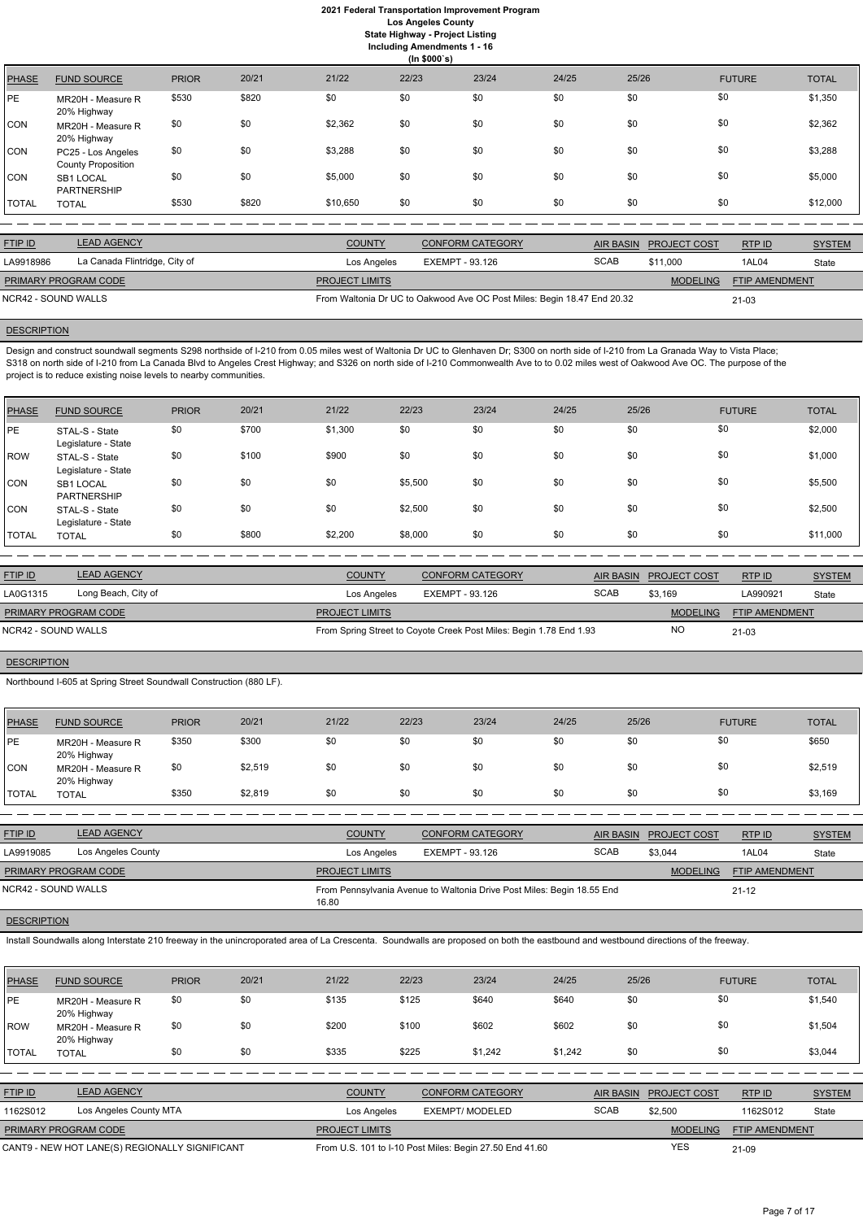**(In \$000`s)** PHASE FUND SOURCE PRIOR 20/21 21/22 22/23 23/24 24/25 25/26 FUTURE TOTAL PE MR20H - Measure R 20% Highway \$530 \$820 \$0 \$0 \$0 \$0 \$0 \$0 \$0 \$0 \$0 \$0 \$0 \$1,350 CON MR20H - Measure R 20% Highway \$0 \$0 \$2,362 \$0 \$0 \$0 \$0 \$0 \$0 \$0 \$0 \$0 \$0 \$2,362 CON PC25 - Los Angeles County Proposition \$0 \$0 \$3,288 \$0 \$0 \$0 \$0 \$0 \$0 \$0 \$0 \$0 \$0 \$3,288 CON SB1 LOCAL PARTNERSHIP \$0 \$0 \$5,000 \$0 \$0 \$0 \$0 \$0 \$5,000 TOTAL TOTAL \$530 \$820 \$10,650 \$0 \$0 \$0 \$0 \$0 \$12,000

| <b>FTIP ID</b>       | <b>LEAD AGENCY</b>            | <b>COUNTY</b>         | <b>CONFORM CATEGORY</b>                                                 |             | AIR BASIN PROJECT COST | RTPID          | <b>SYSTEM</b> |
|----------------------|-------------------------------|-----------------------|-------------------------------------------------------------------------|-------------|------------------------|----------------|---------------|
| LA9918986            | La Canada Flintridge, City of | Los Angeles           | EXEMPT - 93.126                                                         | <b>SCAB</b> | \$11,000               | 1AL04          | State         |
| PRIMARY PROGRAM CODE |                               | <b>PROJECT LIMITS</b> |                                                                         |             | <b>MODELING</b>        | FTIP AMENDMENT |               |
| NCR42 - SOUND WALLS  |                               |                       | From Waltonia Dr UC to Oakwood Ave OC Post Miles: Begin 18.47 End 20.32 |             |                        | 21-03          |               |

# **DESCRIPTION**

Design and construct soundwall segments S298 northside of I-210 from 0.05 miles west of Waltonia Dr UC to Glenhaven Dr; S300 on north side of I-210 from La Granada Way to Vista Place; S318 on north side of I-210 from La Canada Blvd to Angeles Crest Highway; and S326 on north side of I-210 Commonwealth Ave to to 0.02 miles west of Oakwood Ave OC. The purpose of the project is to reduce existing noise levels to nearby communities.

| <b>PHASE</b> | <b>FUND SOURCE</b>                     | <b>PRIOR</b> | 20/21 | 21/22   | 22/23   | 23/24 | 24/25 | 25/26 | <b>FUTURE</b> | <b>TOTAL</b> |
|--------------|----------------------------------------|--------------|-------|---------|---------|-------|-------|-------|---------------|--------------|
| PE           | STAL-S - State<br>Legislature - State  | \$0          | \$700 | \$1,300 | \$0     | \$0   | \$0   | \$0   | \$0           | \$2,000      |
| <b>ROW</b>   | STAL-S - State<br>Legislature - State  | \$0          | \$100 | \$900   | \$0     | \$0   | \$0   | \$0   | \$0           | \$1,000      |
| <b>CON</b>   | <b>SB1 LOCAL</b><br><b>PARTNERSHIP</b> | \$0          | \$0   | \$0     | \$5,500 | \$0   | \$0   | \$0   | \$0           | \$5,500      |
| <b>CON</b>   | STAL-S - State<br>Legislature - State  | \$0          | \$0   | \$0     | \$2,500 | \$0   | \$0   | \$0   | \$0           | \$2,500      |
| <b>TOTAL</b> | <b>TOTAL</b>                           | \$0          | \$800 | \$2,200 | \$8,000 | \$0   | \$0   | \$0   | \$0           | \$11,000     |

| <b>COUNTY</b>         | <b>AIR BASIN</b> |                                                                                                                  | RTP ID                | <b>SYSTEM</b> |
|-----------------------|------------------|------------------------------------------------------------------------------------------------------------------|-----------------------|---------------|
| Los Angeles           | <b>SCAB</b>      | \$3,169                                                                                                          | LA990921              | State         |
| <b>PROJECT LIMITS</b> |                  | <b>MODELING</b>                                                                                                  | <b>FTIP AMENDMENT</b> |               |
|                       |                  | NO                                                                                                               | 21-03                 |               |
|                       |                  | <b>CONFORM CATEGORY</b><br>EXEMPT - 93.126<br>From Spring Street to Coyote Creek Post Miles: Begin 1.78 End 1.93 | <b>PROJECT COST</b>   |               |

# **DESCRIPTION**

Northbound I-605 at Spring Street Soundwall Construction (880 LF).

| <b>PHASE</b> | <b>FUND SOURCE</b>               | <b>PRIOR</b> | 20/21   | 21/22 | 22/23 | 23/24 | 24/25 | 25/26 | <b>FUTURE</b> | <b>TOTAL</b> |
|--------------|----------------------------------|--------------|---------|-------|-------|-------|-------|-------|---------------|--------------|
| PE           | MR20H - Measure R<br>20% Highway | \$350        | \$300   | \$0   | \$0   | \$0   | \$0   | \$0   | \$0           | \$650        |
| <b>CON</b>   | MR20H - Measure R<br>20% Highway | \$0          | \$2,519 | \$0   | \$0   | \$0   | \$0   | \$0   | \$0           | \$2,519      |
| <b>TOTAL</b> | <b>TOTAL</b>                     | \$350        | \$2,819 | \$0   | \$0   | \$0   | \$0   | \$0   | \$0           | \$3,169      |

| <b>FTIP ID</b>       | <b>LEAD AGENCY</b> | <b>COUNTY</b>         | <b>CONFORM CATEGORY</b>                                                | AIR BASIN   | <b>PROJECT COST</b> | RTPID                 | <b>SYSTEM</b> |
|----------------------|--------------------|-----------------------|------------------------------------------------------------------------|-------------|---------------------|-----------------------|---------------|
| LA9919085            | Los Angeles County | Los Angeles           | EXEMPT - 93.126                                                        | <b>SCAB</b> | \$3,044             | 1AL04                 | State         |
| PRIMARY PROGRAM CODE |                    | <b>PROJECT LIMITS</b> |                                                                        |             | <b>MODELING</b>     | <b>FTIP AMENDMENT</b> |               |
| NCR42 - SOUND WALLS  |                    | 16.80                 | From Pennsylvania Avenue to Waltonia Drive Post Miles: Begin 18.55 End |             |                     | $21 - 12$             |               |

Install Soundwalls along Interstate 210 freeway in the unincroporated area of La Crescenta. Soundwalls are proposed on both the eastbound and westbound directions of the freeway.

| <b>PHASE</b>   | <b>FUND SOURCE</b>                             | <b>PRIOR</b> | 20/21 | 21/22                 | 22/23 | 23/24                                                   | 24/25   | 25/26            |                     | <b>FUTURE</b>  | <b>TOTAL</b>  |
|----------------|------------------------------------------------|--------------|-------|-----------------------|-------|---------------------------------------------------------|---------|------------------|---------------------|----------------|---------------|
| <b>IPE</b>     | MR20H - Measure R<br>20% Highway               | \$0          | \$0   | \$135                 | \$125 | \$640                                                   | \$640   | \$0              |                     | \$0            | \$1,540       |
| ROW            | MR20H - Measure R<br>20% Highway               | \$0          | \$0   | \$200                 | \$100 | \$602                                                   | \$602   | \$0              |                     | \$0            | \$1,504       |
| <b>TOTAL</b>   | <b>TOTAL</b>                                   | \$0          | \$0   | \$335                 | \$225 | \$1,242                                                 | \$1,242 | \$0              |                     | \$0            | \$3,044       |
|                |                                                |              |       |                       |       |                                                         |         |                  |                     |                |               |
| <b>FTIP ID</b> | <b>LEAD AGENCY</b>                             |              |       | <b>COUNTY</b>         |       | <b>CONFORM CATEGORY</b>                                 |         | <b>AIR BASIN</b> | <b>PROJECT COST</b> | RTP ID         | <b>SYSTEM</b> |
| 1162S012       | Los Angeles County MTA                         |              |       | Los Angeles           |       | <b>EXEMPT/ MODELED</b>                                  |         | <b>SCAB</b>      | \$2,500             | 1162S012       | State         |
|                | PRIMARY PROGRAM CODE                           |              |       | <b>PROJECT LIMITS</b> |       |                                                         |         |                  | <b>MODELING</b>     | FTIP AMENDMENT |               |
|                | CANT9 - NEW HOT LANE(S) REGIONALLY SIGNIFICANT |              |       |                       |       | From U.S. 101 to I-10 Post Miles: Begin 27.50 End 41.60 |         |                  | <b>YES</b>          | 21-09          |               |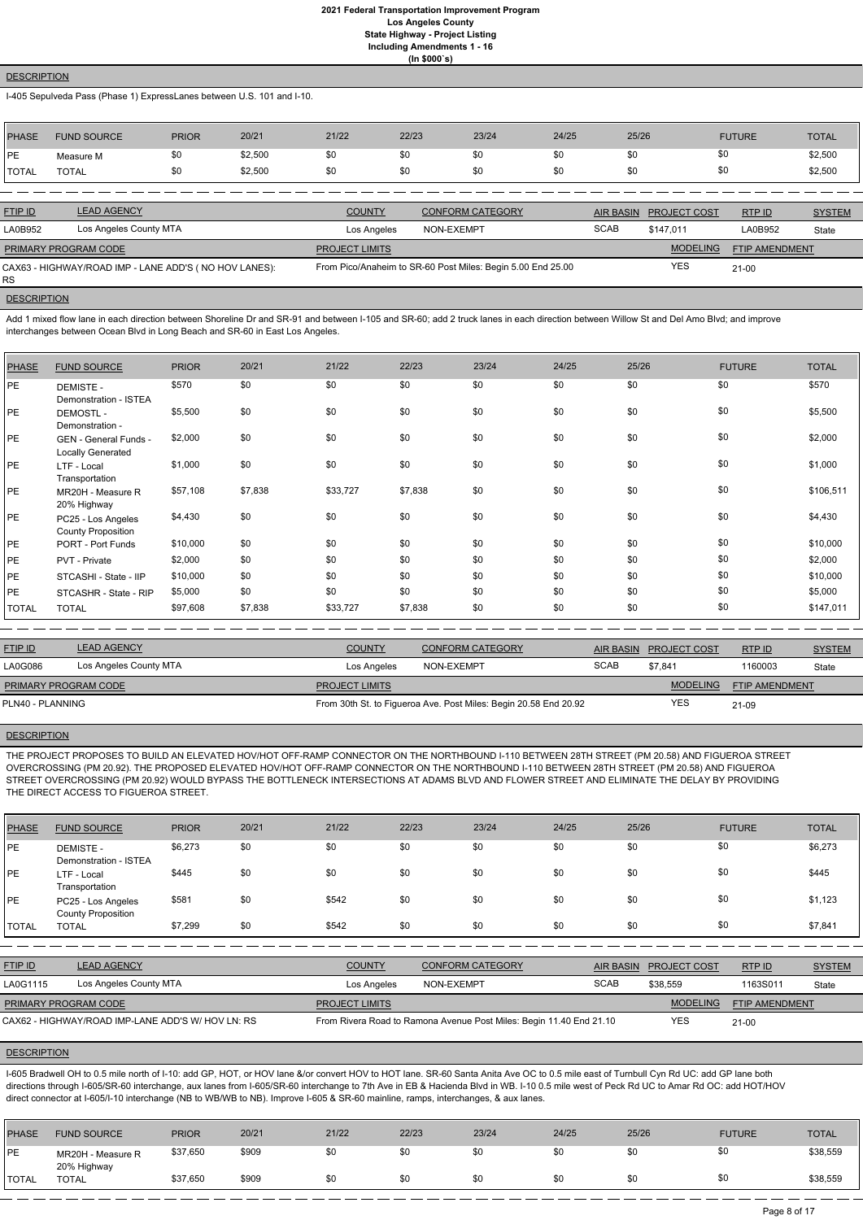#### **DESCRIPTION**

I-405 Sepulveda Pass (Phase 1) ExpressLanes between U.S. 101 and I-10.

| <b>PHASE</b> | <b>FUND SOURCE</b> | <b>PRIOR</b> | 20/21   | 21/22 | 22/23 | 23/24 | 24/25 | 25/26 | <b>FUTURE</b> | <b>TOTAL</b> |
|--------------|--------------------|--------------|---------|-------|-------|-------|-------|-------|---------------|--------------|
| <b>IPE</b>   | Measure M          | \$0          | \$2,500 | \$0   | \$0   | \$0   | \$0   | \$0   | \$0           | \$2,500      |
| <b>TOTAL</b> | <b>TOTAL</b>       | \$0          | \$2,500 | \$0   | \$0   | \$0   | \$0   | \$0   | \$0           | \$2,500      |
|              |                    |              |         |       |       |       |       |       |               |              |

Add 1 mixed flow lane in each direction between Shoreline Dr and SR-91 and between I-105 and SR-60; add 2 truck lanes in each direction between Willow St and Del Amo Blvd; and improve interchanges between Ocean Blvd in Long Beach and SR-60 in East Los Angeles.

| <b>FTIP ID</b>              | <b>LEAD AGENCY</b>                                    | <b>COUNTY</b>         | <b>CONFORM CATEGORY</b>                                     |             | AIR BASIN PROJECT COST | RTP ID         | <b>SYSTEM</b> |
|-----------------------------|-------------------------------------------------------|-----------------------|-------------------------------------------------------------|-------------|------------------------|----------------|---------------|
| LA0B952                     | Los Angeles County MTA                                | Los Angeles           | NON-EXEMPT                                                  | <b>SCAB</b> | \$147.011              | <b>_A0B952</b> | State         |
| <b>PRIMARY PROGRAM CODE</b> |                                                       | <b>PROJECT LIMITS</b> |                                                             |             | <b>MODELING</b>        | FTIP AMENDMENT |               |
| <b>RS</b>                   | CAX63 - HIGHWAY/ROAD IMP - LANE ADD'S (NO HOV LANES): |                       | From Pico/Anaheim to SR-60 Post Miles: Begin 5.00 End 25.00 |             | <b>YES</b>             | $21 - 00$      |               |

**DESCRIPTION** 

| PHASE        | <b>FUND SOURCE</b>                              | <b>PRIOR</b> | 20/21   | 21/22    | 22/23   | 23/24 | 24/25 | 25/26 | <b>FUTURE</b> | <b>TOTAL</b> |
|--------------|-------------------------------------------------|--------------|---------|----------|---------|-------|-------|-------|---------------|--------------|
| PE           | <b>DEMISTE -</b><br>Demonstration - ISTEA       | \$570        | \$0     | \$0      | \$0     | \$0   | \$0   | \$0   | \$0           | \$570        |
| PE           | <b>DEMOSTL-</b><br>Demonstration -              | \$5,500      | \$0     | \$0      | \$0     | \$0   | \$0   | \$0   | \$0           | \$5,500      |
| <b>PE</b>    | GEN - General Funds -<br>Locally Generated      | \$2,000      | \$0     | \$0      | \$0     | \$0   | \$0   | \$0   | \$0           | \$2,000      |
| <b>PE</b>    | LTF - Local<br>Transportation                   | \$1,000      | \$0     | \$0      | \$0     | \$0   | \$0   | \$0   | \$0           | \$1,000      |
| PE           | MR20H - Measure R<br>20% Highway                | \$57,108     | \$7,838 | \$33,727 | \$7,838 | \$0   | \$0   | \$0   | \$0           | \$106,511    |
| <b>PE</b>    | PC25 - Los Angeles<br><b>County Proposition</b> | \$4,430      | \$0     | \$0      | \$0     | \$0   | \$0   | \$0   | \$0           | \$4,430      |
| PE           | PORT - Port Funds                               | \$10,000     | \$0     | \$0      | \$0     | \$0   | \$0   | \$0   | \$0           | \$10,000     |
| PE           | PVT - Private                                   | \$2,000      | \$0     | \$0      | \$0     | \$0   | \$0   | \$0   | \$0           | \$2,000      |
| PE           | STCASHI - State - IIP                           | \$10,000     | \$0     | \$0      | \$0     | \$0   | \$0   | \$0   | \$0           | \$10,000     |
| PE           | STCASHR - State - RIP                           | \$5,000      | \$0     | \$0      | \$0     | \$0   | \$0   | \$0   | \$0           | \$5,000      |
| <b>TOTAL</b> | <b>TOTAL</b>                                    | \$97,608     | \$7,838 | \$33,727 | \$7,838 | \$0   | \$0   | \$0   | \$0           | \$147,011    |

I-605 Bradwell OH to 0.5 mile north of I-10: add GP, HOT, or HOV lane &/or convert HOV to HOT lane. SR-60 Santa Anita Ave OC to 0.5 mile east of Turnbull Cyn Rd UC: add GP lane both directions through I-605/SR-60 interchange, aux lanes from I-605/SR-60 interchange to 7th Ave in EB & Hacienda Blvd in WB. I-10 0.5 mile west of Peck Rd UC to Amar Rd OC: add HOT/HOV direct connector at I-605/I-10 interchange (NB to WB/WB to NB). Improve I-605 & SR-60 mainline, ramps, interchanges, & aux lanes.

| <b>FTIP ID</b>              | <b>LEAD AGENCY</b>     | <b>COUNTY</b>         | CONFORM CATEGORY                                                 |             | AIR BASIN PROJECT COST | <b>RTP ID</b>         | <b>SYSTEM</b> |
|-----------------------------|------------------------|-----------------------|------------------------------------------------------------------|-------------|------------------------|-----------------------|---------------|
| LA0G086                     | Los Angeles County MTA | Los Angeles           | NON-EXEMPT                                                       | <b>SCAB</b> | \$7.841                | 1160003               | State         |
| <b>PRIMARY PROGRAM CODE</b> |                        | <b>PROJECT LIMITS</b> |                                                                  |             | <b>MODELING</b>        | <b>FTIP AMENDMENT</b> |               |
| PLN40 - PLANNING            |                        |                       | From 30th St. to Figueroa Ave. Post Miles: Begin 20.58 End 20.92 |             | <b>YES</b>             | $21-09$               |               |

### **DESCRIPTION**

THE PROJECT PROPOSES TO BUILD AN ELEVATED HOV/HOT OFF-RAMP CONNECTOR ON THE NORTHBOUND I-110 BETWEEN 28TH STREET (PM 20.58) AND FIGUEROA STREET OVERCROSSING (PM 20.92). THE PROPOSED ELEVATED HOV/HOT OFF-RAMP CONNECTOR ON THE NORTHBOUND I-110 BETWEEN 28TH STREET (PM 20.58) AND FIGUEROA STREET OVERCROSSING (PM 20.92) WOULD BYPASS THE BOTTLENECK INTERSECTIONS AT ADAMS BLVD AND FLOWER STREET AND ELIMINATE THE DELAY BY PROVIDING THE DIRECT ACCESS TO FIGUEROA STREET.

| <b>PHASE</b> | <b>FUND SOURCE</b>                                | <b>PRIOR</b> | 20/21 | 21/22                 | 22/23                                                               | 23/24                   | 24/25 | 25/26            |                     | <b>FUTURE</b>  | <b>TOTAL</b>  |
|--------------|---------------------------------------------------|--------------|-------|-----------------------|---------------------------------------------------------------------|-------------------------|-------|------------------|---------------------|----------------|---------------|
| <b>PE</b>    | <b>DEMISTE -</b><br>Demonstration - ISTEA         | \$6,273      | \$0   | \$0                   | \$0                                                                 | \$0                     | \$0   | \$0              |                     | \$0            | \$6,273       |
| <b>IPE</b>   | LTF - Local<br>Transportation                     | \$445        | \$0   | \$0                   | \$0                                                                 | \$0                     | \$0   | \$0              |                     | \$0            | \$445         |
| <b>IPE</b>   | PC25 - Los Angeles<br><b>County Proposition</b>   | \$581        | \$0   | \$542                 | \$0                                                                 | \$0                     | \$0   | \$0              |                     | \$0            | \$1,123       |
| <b>TOTAL</b> | <b>TOTAL</b>                                      | \$7,299      | \$0   | \$542                 | \$0                                                                 | \$0                     | \$0   | \$0              |                     | \$0            | \$7,841       |
|              |                                                   |              |       |                       |                                                                     |                         |       |                  |                     |                |               |
| FTIP ID      | <b>LEAD AGENCY</b>                                |              |       | <b>COUNTY</b>         |                                                                     | <b>CONFORM CATEGORY</b> |       | <b>AIR BASIN</b> | <b>PROJECT COST</b> | RTP ID         | <b>SYSTEM</b> |
| LA0G1115     | Los Angeles County MTA                            |              |       | Los Angeles           | NON-EXEMPT                                                          |                         |       | <b>SCAB</b>      | \$38,559            | 1163S011       | State         |
|              | PRIMARY PROGRAM CODE                              |              |       | <b>PROJECT LIMITS</b> |                                                                     |                         |       |                  | <b>MODELING</b>     | FTIP AMENDMENT |               |
|              | CAX62 - HIGHWAY/ROAD IMP-LANE ADD'S W/ HOV LN: RS |              |       |                       | From Rivera Road to Ramona Avenue Post Miles: Begin 11.40 End 21.10 |                         |       |                  | <b>YES</b>          | $21-00$        |               |

| <b>PHASE</b>  | <b>FUND SOURCE</b>               | <b>PRIOR</b> | 20/21 | 21/22 | 22/23 | 23/24 | 24/25 | 25/26 | <b>FUTURE</b> | <b>TOTAL</b> |
|---------------|----------------------------------|--------------|-------|-------|-------|-------|-------|-------|---------------|--------------|
| PE            | MR20H - Measure R<br>20% Highway | \$37,650     | \$909 | \$0   | \$0   | \$0   | \$0   | \$0   | \$0           | \$38,559     |
| <b>ITOTAL</b> | <b>TOTAL</b>                     | \$37,650     | \$909 | \$0   | \$0   | \$0   | \$0   | \$0   | \$0           | \$38,559     |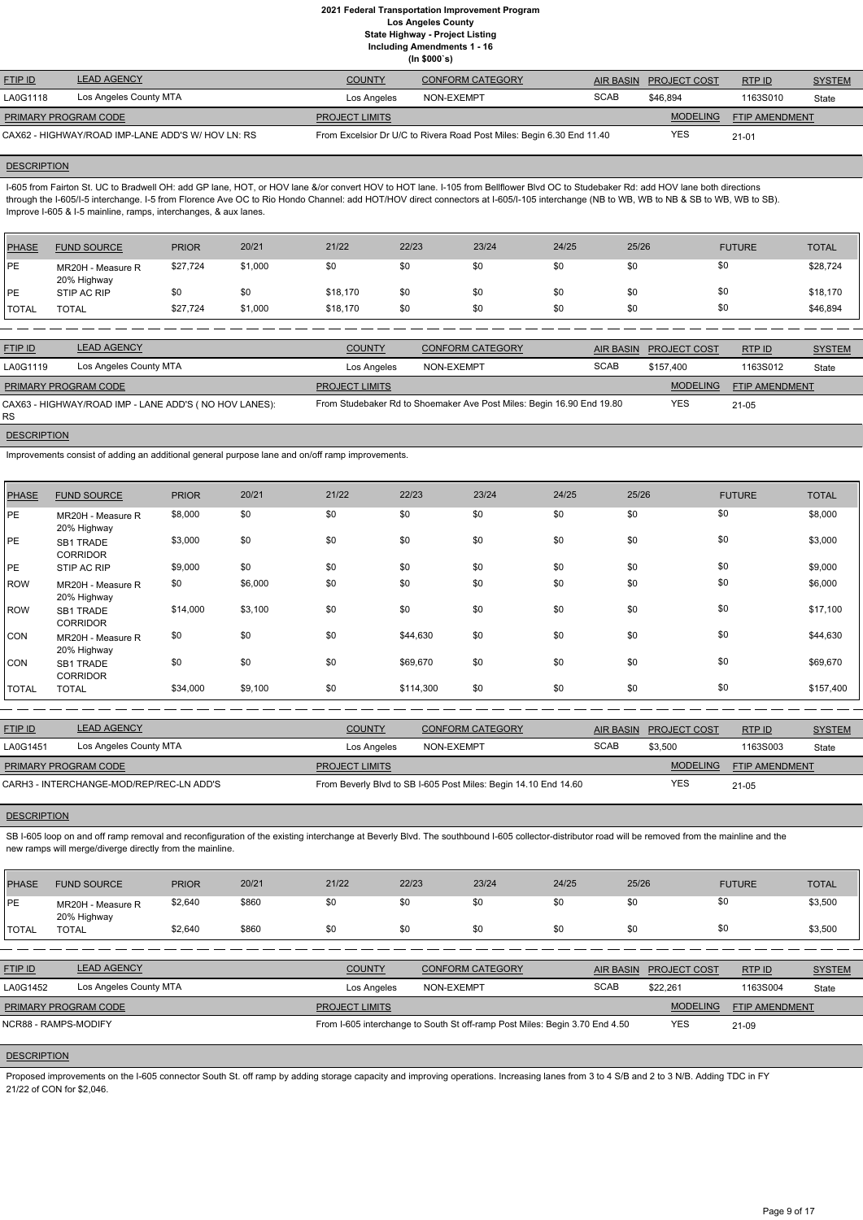**(In \$000`s)** FTIP ID LEAD AGENCY COUNTY CONFORM CATEGORY AIR BASIN PROJECT COST RTP ID SYSTEM AND STREM MODELING FTIP AMENDMENT RTP ID LA0G1118 Los Angeles County MTA **Los Angeles** NON-EXEMPT SCAB \$46,894 1163S010 State YES 1163S010 21-01 **PROJECT LIMITS** CAX62 - HIGHWAY/ROAD IMP-LANE ADD'S W/ HOV LN: RS From Excelsior Dr U/C to Rivera Road Post Miles: Begin 6.30 End 11.40 PRIMARY PROGRAM CODE

## **DESCRIPTION**

I-605 from Fairton St. UC to Bradwell OH: add GP lane, HOT, or HOV lane &/or convert HOV to HOT lane. I-105 from Bellflower Blvd OC to Studebaker Rd: add HOV lane both directions through the I-605/I-5 interchange. I-5 from Florence Ave OC to Rio Hondo Channel: add HOT/HOV direct connectors at I-605/I-105 interchange (NB to WB, WB to NB & SB to WB, WB to SB). Improve I-605 & I-5 mainline, ramps, interchanges, & aux lanes.

| PHASE        | <b>FUND SOURCE</b>               | <b>PRIOR</b> | 20/21   | 21/22    | 22/23 | 23/24 | 24/25 | 25/26 | <b>FUTURE</b> | <b>TOTAL</b> |
|--------------|----------------------------------|--------------|---------|----------|-------|-------|-------|-------|---------------|--------------|
| PE           | MR20H - Measure R<br>20% Highway | \$27,724     | \$1,000 | \$0      | \$0   | \$0   | \$0   | \$0   | \$0           | \$28,724     |
| <b>IPE</b>   | STIP AC RIP                      | \$0          | \$0     | \$18,170 | \$0   | \$0   | \$0   | \$0   | \$0           | \$18,170     |
| <b>TOTAL</b> | <b>TOTAL</b>                     | \$27,724     | \$1,000 | \$18,170 | \$0   | \$0   | \$0   | \$0   | \$0           | \$46,894     |

| <b>FTIP ID</b>       | <b>LEAD AGENCY</b>                                    | <b>COUNTY</b>         | <b>CONFORM CATEGORY</b>                                               |             | AIR BASIN PROJECT COST | RTP ID         | <b>SYSTEM</b> |
|----------------------|-------------------------------------------------------|-----------------------|-----------------------------------------------------------------------|-------------|------------------------|----------------|---------------|
| LA0G1119             | Los Angeles County MTA                                | Los Angeles           | NON-EXEMPT                                                            | <b>SCAB</b> | \$157.400              | 1163S012       | State         |
| PRIMARY PROGRAM CODE |                                                       | <b>PROJECT LIMITS</b> |                                                                       |             | <b>MODELING</b>        | FTIP AMENDMENT |               |
| RS.                  | CAX63 - HIGHWAY/ROAD IMP - LANE ADD'S (NO HOV LANES): |                       | From Studebaker Rd to Shoemaker Ave Post Miles: Begin 16.90 End 19.80 |             | <b>YES</b>             | $21 - 05$      |               |

#### **DESCRIPTION**

SB I-605 loop on and off ramp removal and reconfiguration of the existing interchange at Beverly Blvd. The southbound I-605 collector-distributor road will be removed from the mainline and the new ramps will merge/diverge directly from the mainline.

Improvements consist of adding an additional general purpose lane and on/off ramp improvements.

Proposed improvements on the I-605 connector South St. off ramp by adding storage capacity and improving operations. Increasing lanes from 3 to 4 S/B and 2 to 3 N/B. Adding TDC in FY 21/22 of CON for \$2,046.

| <b>PHASE</b> | <b>FUND SOURCE</b>                  | <b>PRIOR</b> | 20/21   | 21/22 | 22/23     | 23/24 | 24/25 | 25/26 | <b>FUTURE</b> | <b>TOTAL</b> |
|--------------|-------------------------------------|--------------|---------|-------|-----------|-------|-------|-------|---------------|--------------|
| PE           | MR20H - Measure R<br>20% Highway    | \$8,000      | \$0     | \$0   | \$0       | \$0   | \$0   | \$0   | \$0           | \$8,000      |
| PE           | <b>SB1 TRADE</b><br><b>CORRIDOR</b> | \$3,000      | \$0     | \$0   | \$0       | \$0   | \$0   | \$0   | \$0           | \$3,000      |
| PE           | STIP AC RIP                         | \$9,000      | \$0     | \$0   | \$0       | \$0   | \$0   | \$0   | \$0           | \$9,000      |
| <b>ROW</b>   | MR20H - Measure R<br>20% Highway    | \$0          | \$6,000 | \$0   | \$0       | \$0   | \$0   | \$0   | \$0           | \$6,000      |
| <b>ROW</b>   | SB1 TRADE<br><b>CORRIDOR</b>        | \$14,000     | \$3,100 | \$0   | \$0       | \$0   | \$0   | \$0   | \$0           | \$17,100     |
| <b>CON</b>   | MR20H - Measure R<br>20% Highway    | \$0          | \$0     | \$0   | \$44,630  | \$0   | \$0   | \$0   | \$0           | \$44,630     |
| <b>CON</b>   | SB1 TRADE<br><b>CORRIDOR</b>        | \$0          | \$0     | \$0   | \$69,670  | \$0   | \$0   | \$0   | \$0           | \$69,670     |
| <b>TOTAL</b> | <b>TOTAL</b>                        | \$34,000     | \$9,100 | \$0   | \$114,300 | \$0   | \$0   | \$0   | \$0           | \$157,400    |

| <b>FTIP ID</b>              | <b>LEAD AGENCY</b>                       | <b>COUNTY</b>         | <b>CONFORM CATEGORY</b>                                         | <b>AIR BASIN</b> | <b>PROJECT COST</b> | RTP ID                | <b>SYSTEM</b> |
|-----------------------------|------------------------------------------|-----------------------|-----------------------------------------------------------------|------------------|---------------------|-----------------------|---------------|
| LA0G1451                    | Los Angeles County MTA                   | Los Angeles           | NON-EXEMPT                                                      | <b>SCAB</b>      | \$3,500             | 1163S003              | State         |
| <b>PRIMARY PROGRAM CODE</b> |                                          | <b>PROJECT LIMITS</b> |                                                                 |                  | <b>MODELING</b>     | <b>FTIP AMENDMENT</b> |               |
|                             | CARH3 - INTERCHANGE-MOD/REP/REC-LN ADD'S |                       | From Beverly Blvd to SB I-605 Post Miles: Begin 14.10 End 14.60 |                  | <b>YES</b>          | $21 - 05$             |               |

| <b>PHASE</b> | <b>FUND SOURCE</b>               | <b>PRIOR</b> | 20/21 | 21/22 | 22/23 | 23/24 | 24/25 | 25/26 | <b>FUTURE</b> | <b>TOTAL</b> |
|--------------|----------------------------------|--------------|-------|-------|-------|-------|-------|-------|---------------|--------------|
| PE           | MR20H - Measure R<br>20% Highway | \$2,640      | \$860 |       | \$0   |       |       |       | \$0           | \$3,500      |

| <b>TOTAL</b>       | <b>TOTAL</b>                | \$2.640                | \$860 | \$0                   | \$0 | \$0                                                                         | \$0 | \$0         | \$0                    |                       | \$3,500       |
|--------------------|-----------------------------|------------------------|-------|-----------------------|-----|-----------------------------------------------------------------------------|-----|-------------|------------------------|-----------------------|---------------|
|                    |                             |                        |       |                       |     |                                                                             |     |             |                        |                       |               |
| <b>FTIP ID</b>     | <b>LEAD AGENCY</b>          |                        |       | <b>COUNTY</b>         |     | <b>CONFORM CATEGORY</b>                                                     |     |             | AIR BASIN PROJECT COST | RTP ID                | <b>SYSTEM</b> |
| LA0G1452           |                             | Los Angeles County MTA |       | Los Angeles           |     | NON-EXEMPT                                                                  |     | <b>SCAB</b> | \$22.261               | 1163S004              | State         |
|                    | <b>PRIMARY PROGRAM CODE</b> |                        |       | <b>PROJECT LIMITS</b> |     |                                                                             |     |             | <b>MODELING</b>        | <b>FTIP AMENDMENT</b> |               |
|                    | NCR88 - RAMPS-MODIFY        |                        |       |                       |     | From I-605 interchange to South St off-ramp Post Miles: Begin 3.70 End 4.50 |     |             | <b>YES</b>             | 21-09                 |               |
|                    |                             |                        |       |                       |     |                                                                             |     |             |                        |                       |               |
| <b>DESCRIPTION</b> |                             |                        |       |                       |     |                                                                             |     |             |                        |                       |               |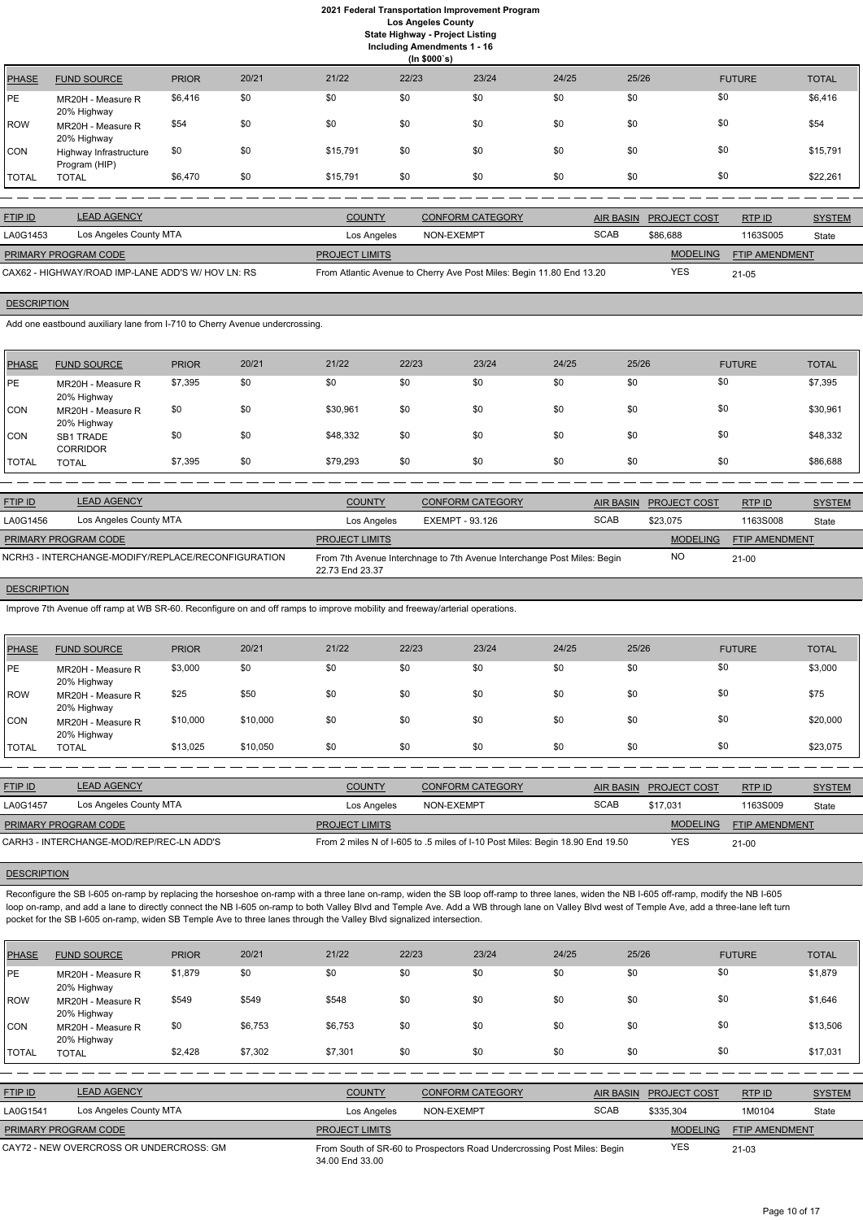# **2021 Federal Transportation Improvement Program Los Angeles County State Highway - Project Listing**

**Including Amendments 1 - 16**

**(In \$000`s)** PHASE FUND SOURCE PRIOR 20/21 21/22 22/23 23/24 24/25 25/26 FUTURE TOTAL PE MR20H - Measure R 20% Highway \$6,416 \$0 \$0 \$0 \$0 \$0 \$0 \$0 \$6,416 ROW MR20H - Measure R 20% Highway \$54 \$0 \$0 \$0 \$0 \$0 \$0 \$0 \$0 \$0 \$0 \$0 \$1 \$54 CON Highway Infrastructure Program (HIP) \$0 \$0 \$15,791 \$0 \$0 \$0 \$0 \$0 \$15,791 TOTAL TOTAL \$6,470 \$0 \$15,791 \$0 \$0 \$0 \$0 \$0 \$22,261

| <b>FTIP ID</b>                                    | <b>LEAD AGENCY</b>     | <b>COUNTY</b>         | <b>CONFORM CATEGORY</b>                                              |             | AIR BASIN PROJECT COST | RTP ID                | <b>SYSTEM</b> |
|---------------------------------------------------|------------------------|-----------------------|----------------------------------------------------------------------|-------------|------------------------|-----------------------|---------------|
| LA0G1453                                          | Los Angeles County MTA | Los Angeles           | NON-EXEMPT                                                           | <b>SCAB</b> | \$86.688               | 1163S005              | State         |
| <b>PRIMARY PROGRAM CODE</b>                       |                        | <b>PROJECT LIMITS</b> |                                                                      |             | <b>MODELING</b>        | <b>FTIP AMENDMENT</b> |               |
| CAX62 - HIGHWAY/ROAD IMP-LANE ADD'S W/ HOV LN: RS |                        |                       | From Atlantic Avenue to Cherry Ave Post Miles: Begin 11.80 End 13.20 |             | YES                    | $21 - 05$             |               |

# **DESCRIPTION**

Add one eastbound auxiliary lane from I-710 to Cherry Avenue undercrossing.

| PHASE        | <b>FUND SOURCE</b>                  | <b>PRIOR</b> | 20/21 | 21/22    | 22/23 | 23/24 | 24/25 | 25/26 | <b>FUTURE</b> | <b>TOTAL</b> |
|--------------|-------------------------------------|--------------|-------|----------|-------|-------|-------|-------|---------------|--------------|
| <b>IPE</b>   | MR20H - Measure R<br>20% Highway    | \$7,395      | \$0   | \$0      | \$0   | \$0   | \$0   | \$0   | \$0           | \$7,395      |
| <b>CON</b>   | MR20H - Measure R<br>20% Highway    | \$0          | \$0   | \$30,961 | \$0   | \$0   | \$0   | \$0   | \$0           | \$30,961     |
| <b>ICON</b>  | <b>SB1 TRADE</b><br><b>CORRIDOR</b> | \$0          | \$0   | \$48,332 | \$0   | \$0   | \$0   | \$0   | \$0           | \$48,332     |
| <b>TOTAL</b> | <b>TOTAL</b>                        | \$7,395      | \$0   | \$79,293 | \$0   | \$0   | \$0   | \$0   | \$0           | \$86,688     |

| <b>FTIP ID</b>       | <b>LEAD AGENCY</b>                                 | <b>COUNTY</b>         | <b>CONFORM CATEGORY</b>                                                 |             | AIR BASIN PROJECT COST | <b>RTPID</b>   | <b>SYSTEM</b> |
|----------------------|----------------------------------------------------|-----------------------|-------------------------------------------------------------------------|-------------|------------------------|----------------|---------------|
| LA0G1456             | Los Angeles County MTA                             | Los Angeles           | EXEMPT - 93.126                                                         | <b>SCAB</b> | \$23.075               | 1163S008       | State         |
| PRIMARY PROGRAM CODE |                                                    | <b>PROJECT LIMITS</b> |                                                                         |             | <b>MODELING</b>        | FTIP AMENDMENT |               |
|                      | NCRH3 - INTERCHANGE-MODIFY/REPLACE/RECONFIGURATION | 22.73 End 23.37       | From 7th Avenue Interchnage to 7th Avenue Interchange Post Miles: Begin |             | <b>NO</b>              | $21-00$        |               |

#### **DESCRIPTION**

Reconfigure the SB I-605 on-ramp by replacing the horseshoe on-ramp with a three lane on-ramp, widen the SB loop off-ramp to three lanes, widen the NB I-605 off-ramp, modify the NB I-605 loop on-ramp, and add a lane to directly connect the NB I-605 on-ramp to both Valley Blvd and Temple Ave. Add a WB through lane on Valley Blvd west of Temple Ave, add a three-lane left turn pocket for the SB I-605 on-ramp, widen SB Temple Ave to three lanes through the Valley Blvd signalized intersection.

Improve 7th Avenue off ramp at WB SR-60. Reconfigure on and off ramps to improve mobility and freeway/arterial operations.

| <b>PHASE</b>  | <b>FUND SOURCE</b>               | <b>PRIOR</b> | 20/21    | 21/22         | 22/23 | 23/24                   | 24/25     | 25/26               | <b>FUTURE</b> | <b>TOTAL</b>  |
|---------------|----------------------------------|--------------|----------|---------------|-------|-------------------------|-----------|---------------------|---------------|---------------|
| <b>PE</b>     | MR20H - Measure R<br>20% Highway | \$3,000      | \$0      | \$0           | \$0   | \$0                     | \$0       | \$0                 | \$0           | \$3,000       |
| <b>ROW</b>    | MR20H - Measure R<br>20% Highway | \$25         | \$50     | \$0           | \$0   | \$0                     | \$0       | \$0                 | \$0           | \$75          |
| <b>CON</b>    | MR20H - Measure R<br>20% Highway | \$10,000     | \$10,000 | \$0           | \$0   | \$0                     | \$0       | \$0                 | \$0           | \$20,000      |
| <b>ITOTAL</b> | <b>TOTAL</b>                     | \$13,025     | \$10,050 | \$0           | \$0   | \$0                     | \$0       | \$0                 | \$0           | \$23,075      |
|               |                                  |              |          |               |       |                         |           |                     |               |               |
| FTIP ID       | <b>LEAD AGENCY</b>               |              |          | <b>COUNTY</b> |       | <b>CONFORM CATEGORY</b> | AIR BASIN | <b>PROJECT COST</b> | RTP ID        | <b>SYSTEM</b> |

| LA0G1457                    | Los Angeles County MTA                   | Los Angeles           | NON-EXEMPT                                                                    | <b>SCAB</b> | \$17.031        | 1163S009              | State |
|-----------------------------|------------------------------------------|-----------------------|-------------------------------------------------------------------------------|-------------|-----------------|-----------------------|-------|
| <b>PRIMARY PROGRAM CODE</b> |                                          | <b>PROJECT LIMITS</b> |                                                                               |             | <b>MODELING</b> | <b>FTIP AMENDMENT</b> |       |
|                             | CARH3 - INTERCHANGE-MOD/REP/REC-LN ADD'S |                       | From 2 miles N of I-605 to .5 miles of I-10 Post Miles: Begin 18.90 End 19.50 |             | YES             | $21 - 00$             |       |

| <b>PHASE</b>                            | <b>FUND SOURCE</b>               | <b>PRIOR</b> | 20/21   | 21/22                                                                                      | 22/23      | 23/24                   | 24/25       | 25/26            |                     | <b>FUTURE</b>  | <b>TOTAL</b>  |
|-----------------------------------------|----------------------------------|--------------|---------|--------------------------------------------------------------------------------------------|------------|-------------------------|-------------|------------------|---------------------|----------------|---------------|
| <b>IPE</b>                              | MR20H - Measure R<br>20% Highway | \$1,879      | \$0     | \$0                                                                                        | \$0        | \$0                     | \$0         | \$0              | \$0                 |                | \$1,879       |
| ROW                                     | MR20H - Measure R<br>20% Highway | \$549        | \$549   | \$548                                                                                      | \$0        | \$0                     | \$0         | \$0              | \$0                 |                | \$1,646       |
| <b>CON</b>                              | MR20H - Measure R<br>20% Highway | \$0          | \$6,753 | \$6,753                                                                                    | \$0        | \$0                     | \$0         | \$0              | \$0                 |                | \$13,506      |
| <b>TOTAL</b>                            | <b>TOTAL</b>                     | \$2,428      | \$7,302 | \$7,301                                                                                    | \$0        | \$0                     | \$0         | \$0              | \$0                 |                | \$17,031      |
|                                         |                                  |              |         |                                                                                            |            |                         |             |                  |                     |                |               |
| FTIP ID                                 | <b>LEAD AGENCY</b>               |              |         | <b>COUNTY</b>                                                                              |            | <b>CONFORM CATEGORY</b> |             | <b>AIR BASIN</b> | <b>PROJECT COST</b> | RTP ID         | <b>SYSTEM</b> |
| LA0G1541                                | Los Angeles County MTA           |              |         | Los Angeles                                                                                | NON-EXEMPT |                         | <b>SCAB</b> |                  | \$335,304           | 1M0104         | State         |
|                                         | PRIMARY PROGRAM CODE             |              |         | <b>PROJECT LIMITS</b>                                                                      |            |                         |             |                  | <b>MODELING</b>     | FTIP AMENDMENT |               |
| CAY72 - NEW OVERCROSS OR UNDERCROSS: GM |                                  |              |         | From South of SR-60 to Prospectors Road Undercrossing Post Miles: Begin<br>34.00 End 33.00 |            |                         |             |                  | <b>YES</b>          | $21-03$        |               |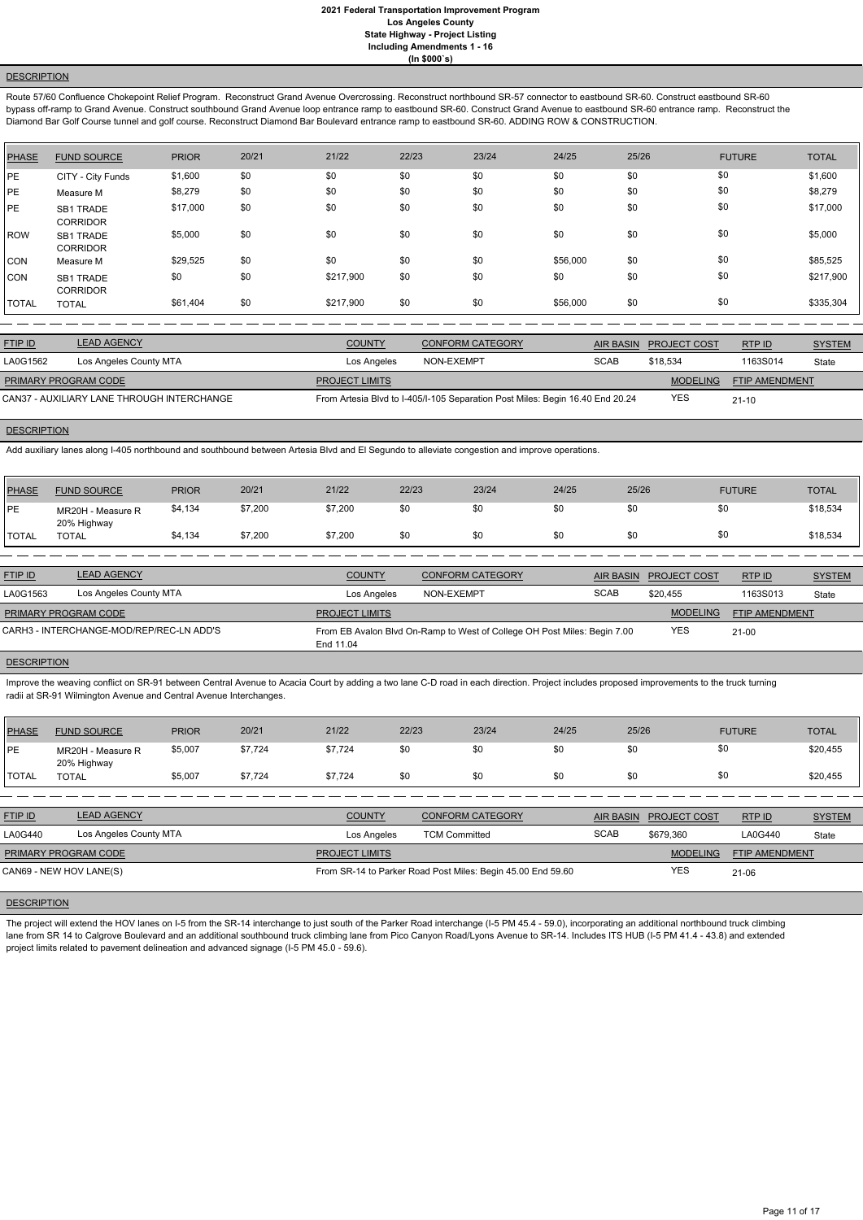# **DESCRIPTION**

Route 57/60 Confluence Chokepoint Relief Program. Reconstruct Grand Avenue Overcrossing. Reconstruct northbound SR-57 connector to eastbound SR-60. Construct eastbound SR-60 bypass off-ramp to Grand Avenue. Construct southbound Grand Avenue loop entrance ramp to eastbound SR-60. Construct Grand Avenue to eastbound SR-60 entrance ramp. Reconstruct the Diamond Bar Golf Course tunnel and golf course. Reconstruct Diamond Bar Boulevard entrance ramp to eastbound SR-60. ADDING ROW & CONSTRUCTION.

| PHASE        | <b>FUND SOURCE</b>           | <b>PRIOR</b> | 20/21 | 21/22     | 22/23 | 23/24 | 24/25    | 25/26 | <b>FUTURE</b> | <b>TOTAL</b> |
|--------------|------------------------------|--------------|-------|-----------|-------|-------|----------|-------|---------------|--------------|
| PE           | CITY - City Funds            | \$1,600      | \$0   | \$0       | \$0   | \$0   | \$0      | \$0   | \$0           | \$1,600      |
| PE           | Measure M                    | \$8,279      | \$0   | \$0       | \$0   | \$0   | \$0      | \$0   | \$0           | \$8,279      |
| PE           | SB1 TRADE<br><b>CORRIDOR</b> | \$17,000     | \$0   | \$0       | \$0   | \$0   | \$0      | \$0   | \$0           | \$17,000     |
| l ROW        | SB1 TRADE<br><b>CORRIDOR</b> | \$5,000      | \$0   | \$0       | \$0   | \$0   | \$0      | \$0   | \$0           | \$5,000      |
| CON          | Measure M                    | \$29,525     | \$0   | \$0       | \$0   | \$0   | \$56,000 | \$0   | \$0           | \$85,525     |
| <b>CON</b>   | SB1 TRADE<br><b>CORRIDOR</b> | \$0          | \$0   | \$217,900 | \$0   | \$0   | \$0      | \$0   | \$0           | \$217,900    |
| <b>TOTAL</b> | <b>TOTAL</b>                 | \$61,404     | \$0   | \$217,900 | \$0   | \$0   | \$56,000 | \$0   | \$0           | \$335,304    |

Improve the weaving conflict on SR-91 between Central Avenue to Acacia Court by adding a two lane C-D road in each direction. Project includes proposed improvements to the truck turning radii at SR-91 Wilmington Avenue and Central Avenue Interchanges.

| <b>FTIP ID</b>              | <b>LEAD AGENCY</b>                         | <b>COUNTY</b>         | <b>CONFORM CATEGORY</b>                                                       |             | AIR BASIN PROJECT COST | RTP ID                | <b>SYSTEM</b> |
|-----------------------------|--------------------------------------------|-----------------------|-------------------------------------------------------------------------------|-------------|------------------------|-----------------------|---------------|
| LA0G1562                    | Los Angeles County MTA                     | Los Angeles           | NON-EXEMPT                                                                    | <b>SCAB</b> | \$18.534               | 1163S014              | State         |
| <b>PRIMARY PROGRAM CODE</b> |                                            | <b>PROJECT LIMITS</b> |                                                                               |             | <b>MODELING</b>        | <b>FTIP AMENDMENT</b> |               |
|                             | CAN37 - AUXILIARY LANE THROUGH INTERCHANGE |                       | From Artesia Blvd to I-405/I-105 Separation Post Miles: Begin 16.40 End 20.24 |             | <b>YES</b>             | $21 - 10$             |               |

### **DESCRIPTION**

Add auxiliary lanes along I-405 northbound and southbound between Artesia Blvd and El Segundo to alleviate congestion and improve operations.

The project will extend the HOV lanes on I-5 from the SR-14 interchange to just south of the Parker Road interchange (I-5 PM 45.4 - 59.0), incorporating an additional northbound truck climbing lane from SR 14 to Calgrove Boulevard and an additional southbound truck climbing lane from Pico Canyon Road/Lyons Avenue to SR-14. Includes ITS HUB (I-5 PM 41.4 - 43.8) and extended project limits related to pavement delineation and advanced signage (I-5 PM 45.0 - 59.6).

| PHASE        | <b>FUND SOURCE</b>               | <b>PRIOR</b> | 20/21   | 21/22   | 22/23 | 23/24 | 24/25 | 25/26 | <b>FUTURE</b> | <b>TOTAL</b> |
|--------------|----------------------------------|--------------|---------|---------|-------|-------|-------|-------|---------------|--------------|
| <b>PE</b>    | MR20H - Measure R<br>20% Highway | \$4,134      | \$7,200 | \$7,200 |       | \$0   | \$0   | \$0   |               | \$18,534     |
| <b>TOTAL</b> | TOTAL                            | \$4,134      | \$7,200 | \$7,200 |       | \$0   | \$0   | \$0   |               | \$18,534     |

| <b>FTIP ID</b>       | <b>LEAD AGENCY</b>                       | <b>COUNTY</b>         | CONFORM CATEGORY                                                         | AIR BASIN   | <b>PROJECT COST</b> | RTPID          | <b>SYSTEM</b> |
|----------------------|------------------------------------------|-----------------------|--------------------------------------------------------------------------|-------------|---------------------|----------------|---------------|
| LA0G1563             | Los Angeles County MTA                   | Los Angeles           | NON-EXEMPT                                                               | <b>SCAB</b> | \$20.455            | 1163S013       | State         |
| PRIMARY PROGRAM CODE |                                          | <b>PROJECT LIMITS</b> |                                                                          |             | <b>MODELING</b>     | FTIP AMENDMENT |               |
|                      | CARH3 - INTERCHANGE-MOD/REP/REC-LN ADD'S | End 11.04             | From EB Avalon Blvd On-Ramp to West of College OH Post Miles: Begin 7.00 |             | <b>YES</b>          | $21 - 00$      |               |

# **DESCRIPTION**

| PHASE  | <b>FUND SOURCE</b>               | <b>PRIOR</b> | 20/21   | 21/22   | 22/23 | 23/24 | 24/25 | 25/26 | <b>FUTURE</b> | <b>TOTAL</b> |
|--------|----------------------------------|--------------|---------|---------|-------|-------|-------|-------|---------------|--------------|
| PE     | MR20H - Measure R<br>20% Highway | \$5,007      | \$7,724 | \$7,724 | \$0   | \$0   | \$0   | \$0   | \$0           | \$20,455     |
| 'TOTAL | <b>TOTAL</b>                     | \$5,007      | \$7,724 | \$7,724 | \$0   | \$0   | \$0   | \$0   | \$0           | \$20,455     |

| <b>FTIP ID</b>          | <b>LEAD AGENCY</b>     | <b>COUNTY</b>         | <b>CONFORM CATEGORY</b>                                     |             | AIR BASIN PROJECT COST | RTP ID                | <b>SYSTEM</b> |
|-------------------------|------------------------|-----------------------|-------------------------------------------------------------|-------------|------------------------|-----------------------|---------------|
| LA0G440                 | Los Angeles County MTA | Los Angeles           | <b>TCM Committed</b>                                        | <b>SCAB</b> | \$679.360              | LA0G440               | State         |
| PRIMARY PROGRAM CODE    |                        | <b>PROJECT LIMITS</b> |                                                             |             | <b>MODELING</b>        | <b>FTIP AMENDMENT</b> |               |
| CAN69 - NEW HOV LANE(S) |                        |                       | From SR-14 to Parker Road Post Miles: Begin 45.00 End 59.60 |             | YES                    | $21 - 06$             |               |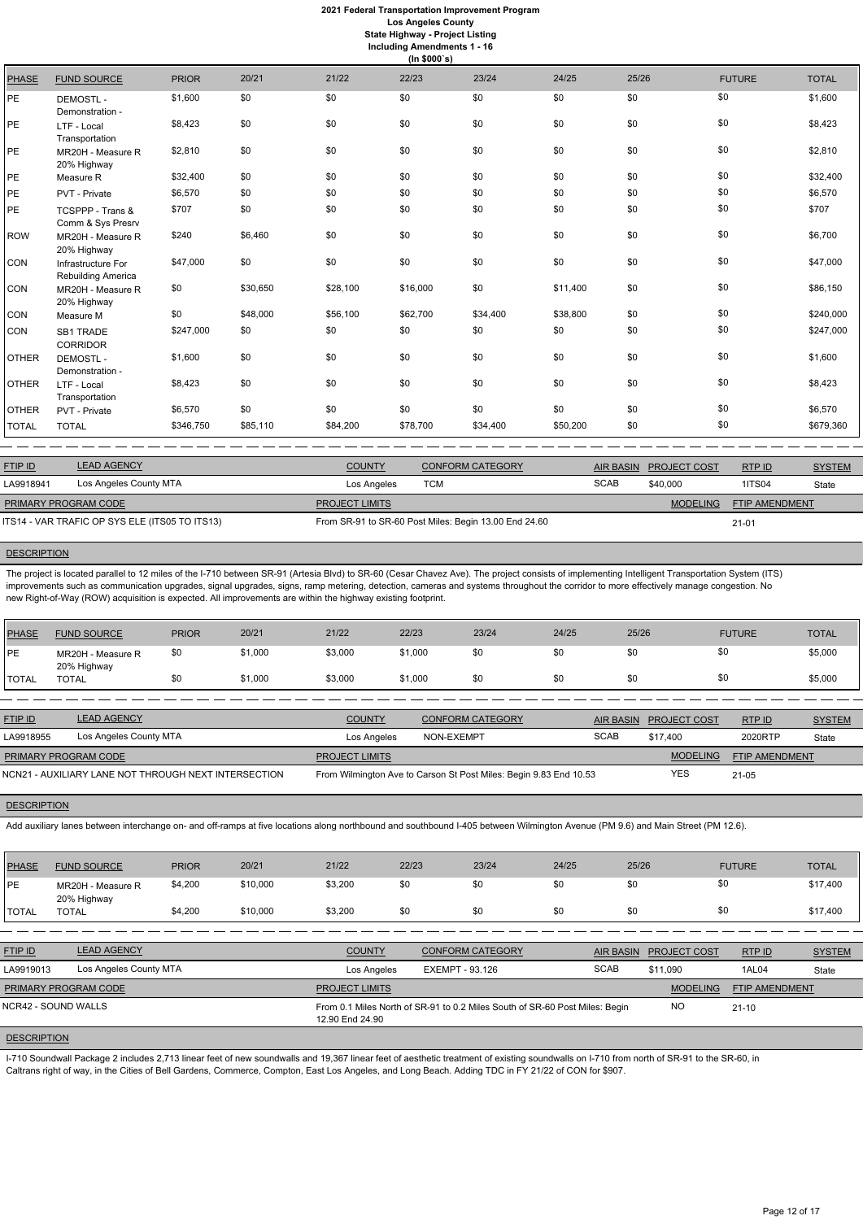|               | (ln \$000's)                             |              |          |          |          |          |          |       |               |              |  |  |
|---------------|------------------------------------------|--------------|----------|----------|----------|----------|----------|-------|---------------|--------------|--|--|
| <b>PHASE</b>  | <b>FUND SOURCE</b>                       | <b>PRIOR</b> | 20/21    | 21/22    | 22/23    | 23/24    | 24/25    | 25/26 | <b>FUTURE</b> | <b>TOTAL</b> |  |  |
| PE            | <b>DEMOSTL-</b><br>Demonstration -       | \$1,600      | \$0      | \$0      | \$0      | \$0      | \$0      | \$0   | \$0           | \$1,600      |  |  |
| PE            | LTF - Local<br>Transportation            | \$8,423      | \$0      | \$0      | \$0      | \$0      | \$0      | \$0   | \$0           | \$8,423      |  |  |
| $\mathsf{PE}$ | MR20H - Measure R<br>20% Highway         | \$2,810      | \$0      | \$0      | \$0      | \$0      | \$0      | \$0   | \$0           | \$2,810      |  |  |
| PE            | Measure R                                | \$32,400     | \$0      | \$0      | \$0      | \$0      | \$0      | \$0   | \$0           | \$32,400     |  |  |
| PE            | PVT - Private                            | \$6,570      | \$0      | \$0      | \$0      | \$0      | \$0      | \$0   | \$0           | \$6,570      |  |  |
| PE            | TCSPPP - Trans &<br>Comm & Sys Presrv    | \$707        | \$0      | \$0      | \$0      | \$0      | \$0      | \$0   | \$0           | \$707        |  |  |
| <b>ROW</b>    | MR20H - Measure R<br>20% Highway         | \$240        | \$6,460  | \$0      | \$0      | \$0      | \$0      | \$0   | \$0           | \$6,700      |  |  |
| CON           | Infrastructure For<br>Rebuilding America | \$47,000     | \$0      | \$0      | \$0      | \$0      | \$0      | \$0   | \$0           | \$47,000     |  |  |
| CON           | MR20H - Measure R<br>20% Highway         | \$0          | \$30,650 | \$28,100 | \$16,000 | \$0      | \$11,400 | \$0   | \$0           | \$86,150     |  |  |
| CON           | Measure M                                | \$0          | \$48,000 | \$56,100 | \$62,700 | \$34,400 | \$38,800 | \$0   | \$0           | \$240,000    |  |  |
| CON           | <b>SB1 TRADE</b><br><b>CORRIDOR</b>      | \$247,000    | \$0      | \$0      | \$0      | \$0      | \$0      | \$0   | \$0           | \$247,000    |  |  |
| <b>OTHER</b>  | <b>DEMOSTL-</b><br>Demonstration -       | \$1,600      | \$0      | \$0      | \$0      | \$0      | \$0      | \$0   | \$0           | \$1,600      |  |  |
| <b>OTHER</b>  | LTF - Local<br>Transportation            | \$8,423      | \$0      | \$0      | \$0      | \$0      | \$0      | \$0   | \$0           | \$8,423      |  |  |
| <b>OTHER</b>  | PVT - Private                            | \$6,570      | \$0      | \$0      | \$0      | \$0      | \$0      | \$0   | \$0           | \$6,570      |  |  |
| <b>TOTAL</b>  | <b>TOTAL</b>                             | \$346,750    | \$85,110 | \$84,200 | \$78,700 | \$34,400 | \$50,200 | \$0   | \$0           | \$679,360    |  |  |

ETIP ID LEAD AGENCY DE SYSTEM COUNTY CONFORM CATEGORY AIR BASIN PROJECT COST RTP ID SYSTEM STREM AND TRUP OF SA **MODELING** FTIP AMENDMENT RTP ID LA9918941 Los Angeles County MTA **Company Contract Contract Contract Contract Contract Contract Contract Contract Contract Contract Contract Contract Contract Contract Contract Contract Contract Contract Contract Contract** 21-01 PROJECT LIMITS ITS14 - VAR TRAFIC OP SYS ELE (ITS05 TO ITS13) From SR-91 to SR-60 Post Miles: Begin 13.00 End 24.60 PRIMARY PROGRAM CODE

## **DESCRIPTION**

The project is located parallel to 12 miles of the I-710 between SR-91 (Artesia Blvd) to SR-60 (Cesar Chavez Ave). The project consists of implementing Intelligent Transportation System (ITS) improvements such as communication upgrades, signal upgrades, signs, ramp metering, detection, cameras and systems throughout the corridor to more effectively manage congestion. No new Right-of-Way (ROW) acquisition is expected. All improvements are within the highway existing footprint.

| <b>PHASE</b> | <b>FUND SOURCE</b>               | <b>PRIOR</b> | 20/21   | 21/22   | 22/23   | 23/24 | 24/25 | 25/26 | <b>FUTURE</b> | <b>TOTAL</b> |
|--------------|----------------------------------|--------------|---------|---------|---------|-------|-------|-------|---------------|--------------|
| PE           | MR20H - Measure R<br>20% Highway | \$Ο          | \$1,000 | \$3,000 | \$1,000 | \$0   | \$0   |       |               | \$5,000      |
| `TOTAL       | <b>TOTAL</b>                     |              | \$1,000 | \$3,000 | \$1,000 | \$0   | \$0   |       |               | \$5,000      |

| <b>FTIP ID</b>       | <b>LEAD AGENCY</b>                                   | <b>COUNTY</b>         | <b>CONFORM CATEGORY</b>                                           |             | AIR BASIN PROJECT COST | RTPID                 | <b>SYSTEM</b> |
|----------------------|------------------------------------------------------|-----------------------|-------------------------------------------------------------------|-------------|------------------------|-----------------------|---------------|
| LA9918955            | Los Angeles County MTA                               | Los Angeles           | NON-EXEMPT                                                        | <b>SCAB</b> | \$17.400               | 2020RTP               | State         |
| PRIMARY PROGRAM CODE |                                                      | <b>PROJECT LIMITS</b> |                                                                   |             | <b>MODELING</b>        | <b>FTIP AMENDMENT</b> |               |
|                      | NCN21 - AUXILIARY LANE NOT THROUGH NEXT INTERSECTION |                       | From Wilmington Ave to Carson St Post Miles: Begin 9.83 End 10.53 |             | YES                    | $21 - 05$             |               |

#### **DESCRIPTION**

Add auxiliary lanes between interchange on- and off-ramps at five locations along northbound and southbound I-405 between Wilmington Avenue (PM 9.6) and Main Street (PM 12.6).

| <b>PHASE</b> | <b>FUND SOURCE</b>               | <b>PRIOR</b> | 20/21    | 21/22   | 22/23 | 23/24 | 24/25 | 25/26 | <b>FUTURE</b> | <b>TOTAL</b> |
|--------------|----------------------------------|--------------|----------|---------|-------|-------|-------|-------|---------------|--------------|
| PE           | MR20H - Measure R<br>20% Highway | \$4,200      | \$10,000 | \$3,200 | \$0   |       | \$0   | \$0   |               | \$17,400     |
| <b>TOTAL</b> | <b>TOTAL</b>                     | \$4,200      | \$10,000 | \$3,200 | \$0   |       | \$0   | \$0   |               | \$17,400     |

| <b>FTIP ID</b>              | <b>LEAD AGENCY</b>     | <b>COUNTY</b>         | <b>CONFORM CATEGORY</b>                                                     | AIR BASIN   | <b>PROJECT COST</b> | RTPID                 | <b>SYSTEM</b> |
|-----------------------------|------------------------|-----------------------|-----------------------------------------------------------------------------|-------------|---------------------|-----------------------|---------------|
| LA9919013                   | Los Angeles County MTA | Los Angeles           | EXEMPT - 93.126                                                             | <b>SCAB</b> | \$11.090            | 1AL04                 | State         |
| <b>PRIMARY PROGRAM CODE</b> |                        | <b>PROJECT LIMITS</b> |                                                                             |             | <b>MODELING</b>     | <b>FTIP AMENDMENT</b> |               |
| NCR42 - SOUND WALLS         |                        | 12.90 End 24.90       | From 0.1 Miles North of SR-91 to 0.2 Miles South of SR-60 Post Miles: Begin |             | NO                  | $21 - 10$             |               |
| <b>DESCRIPTION</b>          |                        |                       |                                                                             |             |                     |                       |               |

I-710 Soundwall Package 2 includes 2,713 linear feet of new soundwalls and 19,367 linear feet of aesthetic treatment of existing soundwalls on I-710 from north of SR-91 to the SR-60, in Caltrans right of way, in the Cities of Bell Gardens, Commerce, Compton, East Los Angeles, and Long Beach. Adding TDC in FY 21/22 of CON for \$907.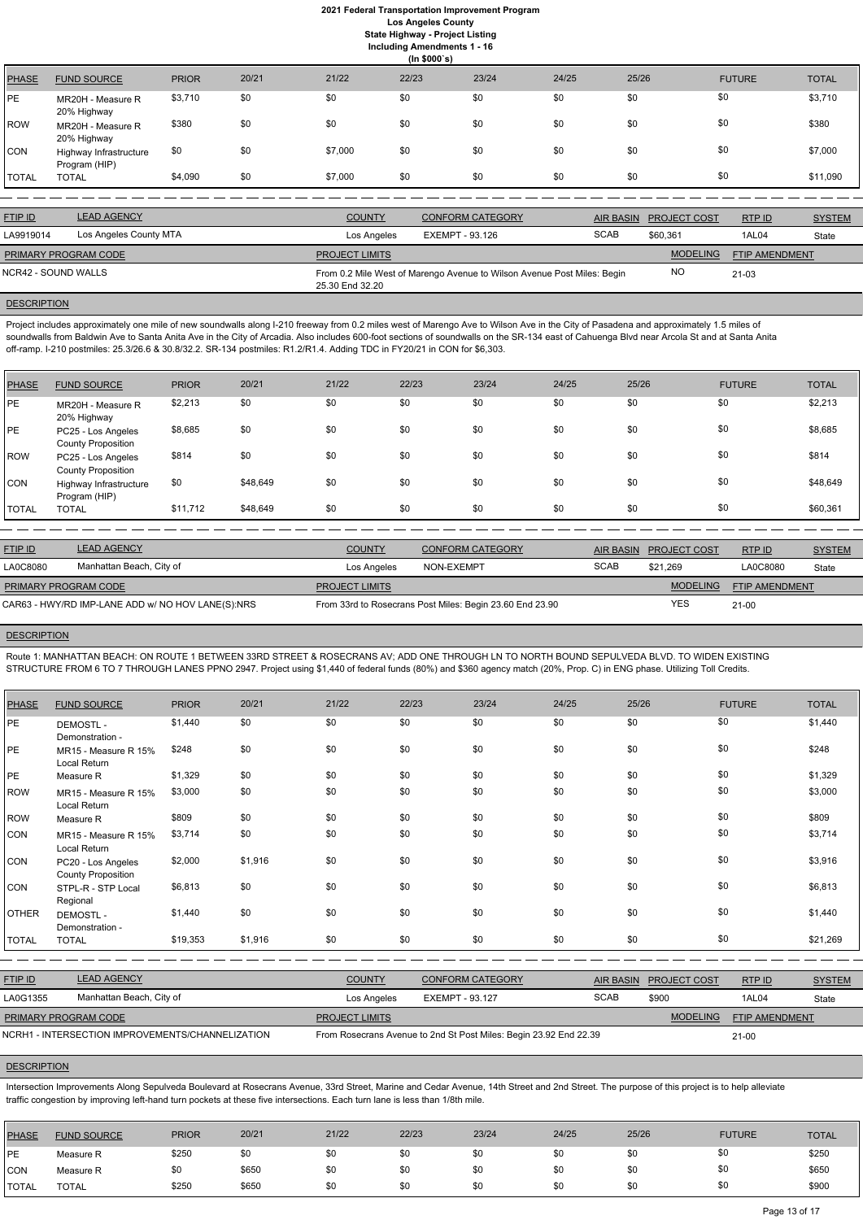# **2021 Federal Transportation Improvement Program Los Angeles County State Highway - Project Listing**

**Including Amendments 1 - 16**

|              | (ln \$000's)                            |              |       |         |       |       |       |       |               |              |  |
|--------------|-----------------------------------------|--------------|-------|---------|-------|-------|-------|-------|---------------|--------------|--|
| <b>PHASE</b> | <b>FUND SOURCE</b>                      | <b>PRIOR</b> | 20/21 | 21/22   | 22/23 | 23/24 | 24/25 | 25/26 | <b>FUTURE</b> | <b>TOTAL</b> |  |
| <b>PE</b>    | MR20H - Measure R<br>20% Highway        | \$3,710      | \$0   | \$0     | \$0   | \$0   | \$0   | \$0   | \$0           | \$3,710      |  |
| ROW          | MR20H - Measure R<br>20% Highway        | \$380        | \$0   | \$0     | \$0   | \$0   | \$0   | \$0   | \$0           | \$380        |  |
| <b>CON</b>   | Highway Infrastructure<br>Program (HIP) | \$0          | \$0   | \$7,000 | \$0   | \$0   | \$0   | \$0   | \$0           | \$7,000      |  |
| <b>TOTAL</b> | <b>TOTAL</b>                            | \$4,090      | \$0   | \$7,000 | \$0   | \$0   | \$0   | \$0   | \$0           | \$11,090     |  |

| <b>FTIP ID</b>              | <b>LEAD AGENCY</b>     | <b>COUNTY</b>         | <b>CONFORM CATEGORY</b>                                                 | <b>AIR BASIN</b> | <b>PROJECT COST</b> | RTP ID                | <b>SYSTEM</b> |
|-----------------------------|------------------------|-----------------------|-------------------------------------------------------------------------|------------------|---------------------|-----------------------|---------------|
| LA9919014                   | Los Angeles County MTA | Los Angeles           | EXEMPT - 93.126                                                         | <b>SCAB</b>      | \$60.361            | 1AL04                 | State         |
| <b>PRIMARY PROGRAM CODE</b> |                        | <b>PROJECT LIMITS</b> |                                                                         |                  | <b>MODELING</b>     | <b>FTIP AMENDMENT</b> |               |
| NCR42 - SOUND WALLS         |                        | 25.30 End 32.20       | From 0.2 Mile West of Marengo Avenue to Wilson Avenue Post Miles: Begin |                  | NO                  | $21-03$               |               |
|                             |                        |                       |                                                                         |                  |                     |                       |               |

# **DESCRIPTION**

Project includes approximately one mile of new soundwalls along I-210 freeway from 0.2 miles west of Marengo Ave to Wilson Ave in the City of Pasadena and approximately 1.5 miles of soundwalls from Baldwin Ave to Santa Anita Ave in the City of Arcadia. Also includes 600-foot sections of soundwalls on the SR-134 east of Cahuenga Blvd near Arcola St and at Santa Anita off-ramp. I-210 postmiles: 25.3/26.6 & 30.8/32.2. SR-134 postmiles: R1.2/R1.4. Adding TDC in FY20/21 in CON for \$6,303.

| PHASE        | <b>FUND SOURCE</b>                              | <b>PRIOR</b> | 20/21    | 21/22 | 22/23 | 23/24 | 24/25 | 25/26 | <b>FUTURE</b> | <b>TOTAL</b> |
|--------------|-------------------------------------------------|--------------|----------|-------|-------|-------|-------|-------|---------------|--------------|
| <b>PE</b>    | MR20H - Measure R<br>20% Highway                | \$2,213      | \$0      | \$0   | \$0   | \$0   | \$0   | \$0   | \$0           | \$2,213      |
| <b>PE</b>    | PC25 - Los Angeles<br><b>County Proposition</b> | \$8,685      | \$0      | \$0   | \$0   | \$0   | \$0   | \$0   | \$0           | \$8,685      |
| ROW          | PC25 - Los Angeles<br><b>County Proposition</b> | \$814        | \$0      | \$0   | \$0   | \$0   | \$0   | \$0   | \$0           | \$814        |
| <b>CON</b>   | Highway Infrastructure<br>Program (HIP)         | \$0          | \$48,649 | \$0   | \$0   | \$0   | \$0   | \$0   | \$0           | \$48,649     |
| <b>TOTAL</b> | <b>TOTAL</b>                                    | \$11,712     | \$48,649 | \$0   | \$0   | \$0   | \$0   | \$0   | \$0           | \$60,361     |

| <b>FTIP ID</b>                                    | <b>LEAD AGENCY</b>       | <b>COUNTY</b>         | <b>CONFORM CATEGORY</b>                                  | AIR BASIN   | <b>PROJECT COST</b> | RTP ID                | <b>SYSTEM</b> |
|---------------------------------------------------|--------------------------|-----------------------|----------------------------------------------------------|-------------|---------------------|-----------------------|---------------|
| LA0C8080                                          | Manhattan Beach, City of | Los Angeles           | NON-EXEMPT                                               | <b>SCAB</b> | \$21.269            | LA0C8080              | State         |
| PRIMARY PROGRAM CODE                              |                          | <b>PROJECT LIMITS</b> |                                                          |             | <b>MODELING</b>     | <b>FTIP AMENDMENT</b> |               |
| CAR63 - HWY/RD IMP-LANE ADD w/ NO HOV LANE(S):NRS |                          |                       | From 33rd to Rosecrans Post Miles: Begin 23.60 End 23.90 |             | YES                 | $21 - 00$             |               |

#### **DESCRIPTION**

Route 1: MANHATTAN BEACH: ON ROUTE 1 BETWEEN 33RD STREET & ROSECRANS AV; ADD ONE THROUGH LN TO NORTH BOUND SEPULVEDA BLVD. TO WIDEN EXISTING STRUCTURE FROM 6 TO 7 THROUGH LANES PPNO 2947. Project using \$1,440 of federal funds (80%) and \$360 agency match (20%, Prop. C) in ENG phase. Utilizing Toll Credits.

| <b>PHASE</b> | <b>FUND SOURCE</b>                              | <b>PRIOR</b> | 20/21   | 21/22 | 22/23 | 23/24 | 24/25 | 25/26 | <b>FUTURE</b> | <b>TOTAL</b> |
|--------------|-------------------------------------------------|--------------|---------|-------|-------|-------|-------|-------|---------------|--------------|
| PE           | <b>DEMOSTL-</b><br>Demonstration -              | \$1,440      | \$0     | \$0   | \$0   | \$0   | \$0   | \$0   | \$0           | \$1,440      |
| <b>PE</b>    | MR15 - Measure R 15%<br>Local Return            | \$248        | \$0     | \$0   | \$0   | \$0   | \$0   | \$0   | \$0           | \$248        |
| IPE          | Measure R                                       | \$1,329      | \$0     | \$0   | \$0   | \$0   | \$0   | \$0   | \$0           | \$1,329      |
| <b>ROW</b>   | MR15 - Measure R 15%<br>Local Return            | \$3,000      | \$0     | \$0   | \$0   | \$0   | \$0   | \$0   | \$0           | \$3,000      |
| <b>ROW</b>   | Measure R                                       | \$809        | \$0     | \$0   | \$0   | \$0   | \$0   | \$0   | \$0           | \$809        |
| <b>CON</b>   | MR15 - Measure R 15%<br>Local Return            | \$3,714      | \$0     | \$0   | \$0   | \$0   | \$0   | \$0   | \$0           | \$3,714      |
| <b>CON</b>   | PC20 - Los Angeles<br><b>County Proposition</b> | \$2,000      | \$1,916 | \$0   | \$0   | \$0   | \$0   | \$0   | \$0           | \$3,916      |
| <b>CON</b>   | STPL-R - STP Local<br>Regional                  | \$6,813      | \$0     | \$0   | \$0   | \$0   | \$0   | \$0   | \$0           | \$6,813      |
| OTHER        | <b>DEMOSTL-</b><br>Demonstration -              | \$1,440      | \$0     | \$0   | \$0   | \$0   | \$0   | \$0   | \$0           | \$1,440      |
| <b>TOTAL</b> | <b>TOTAL</b>                                    | \$19,353     | \$1,916 | \$0   | \$0   | \$0   | \$0   | \$0   | \$0           | \$21,269     |
|              |                                                 |              |         |       |       |       |       |       |               |              |

| <b>FTIP ID</b>              | <b>LEAD AGENCY</b>                               | <b>COUNTY</b>         | CONFORM CATEGORY                                                  | AIR BASIN   | PROJECT COST    | RTPID                 | <b>SYSTEM</b> |
|-----------------------------|--------------------------------------------------|-----------------------|-------------------------------------------------------------------|-------------|-----------------|-----------------------|---------------|
| LA0G1355                    | Manhattan Beach, City of                         | Los Angeles           | EXEMPT - 93.127                                                   | <b>SCAB</b> | \$900           | 1AL04                 | State         |
| <b>PRIMARY PROGRAM CODE</b> |                                                  | <b>PROJECT LIMITS</b> |                                                                   |             | <b>MODELING</b> | <b>FTIP AMENDMENT</b> |               |
|                             | NCRH1 - INTERSECTION IMPROVEMENTS/CHANNELIZATION |                       | From Rosecrans Avenue to 2nd St Post Miles: Begin 23.92 End 22.39 |             |                 | $21 - 00$             |               |

### **DESCRIPTION**

Intersection Improvements Along Sepulveda Boulevard at Rosecrans Avenue, 33rd Street, Marine and Cedar Avenue, 14th Street and 2nd Street. The purpose of this project is to help alleviate traffic congestion by improving left-hand turn pockets at these five intersections. Each turn lane is less than 1/8th mile.

| PHASE        | <b>FUND SOURCE</b> | <b>PRIOR</b> | 20/21 | 21/22 | 22/23 | 23/24 | 24/25 | 25/26 | <b>FUTURE</b> | <b>TOTAL</b> |
|--------------|--------------------|--------------|-------|-------|-------|-------|-------|-------|---------------|--------------|
| <b>IPE</b>   | Measure R          | \$250        | \$0   | \$0   |       | \$0   | \$0   | \$0   | \$0           | \$250        |
| <b>CON</b>   | Measure R          | \$0          | \$650 | \$0   |       | \$0   | \$0   | \$0   | \$0           | \$650        |
| <b>TOTAL</b> | <b>TOTAL</b>       | \$250        | \$650 | \$0   |       | \$0   | \$0   | \$0   | \$0           | \$900        |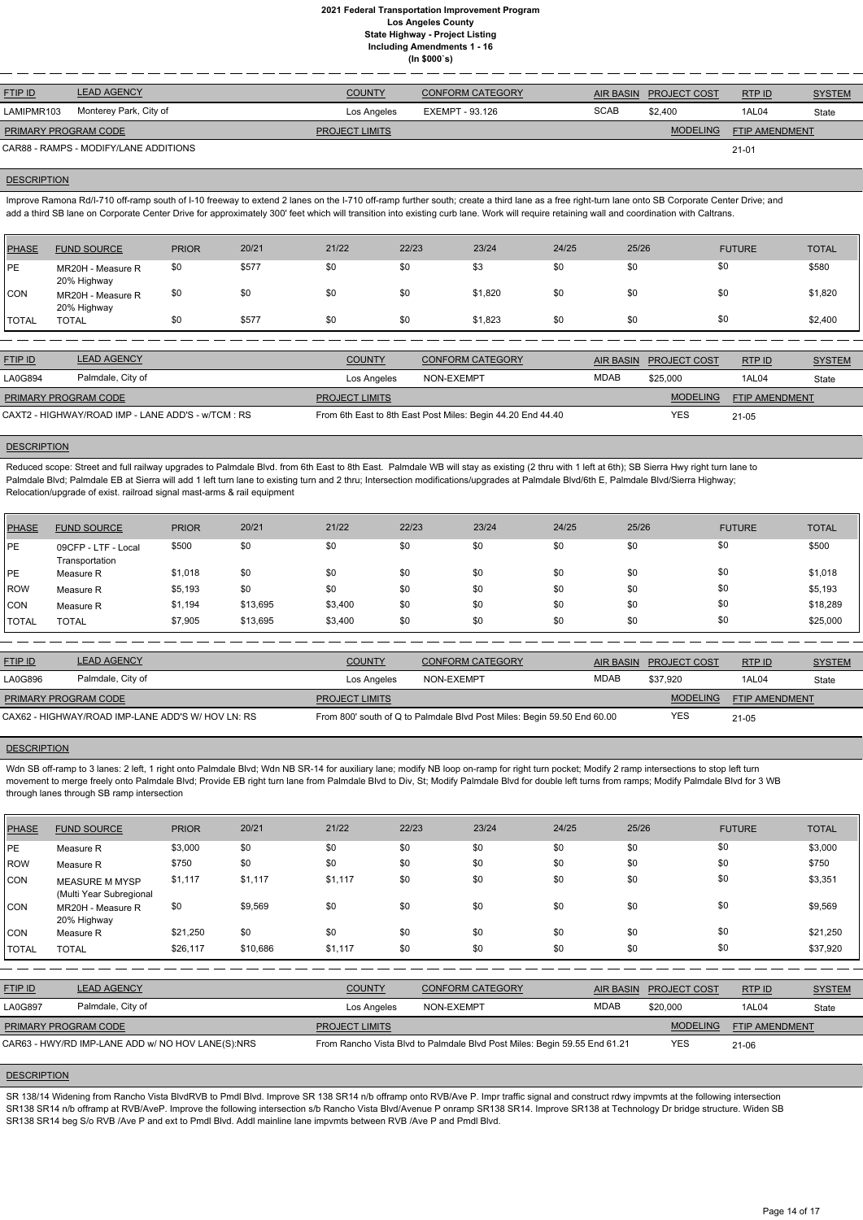| <b>FTIP ID</b>              | <b>LEAD AGENCY</b>                    | <b>COUNTY</b>         | <b>CONFORM CATEGORY</b> |             | <b>AIR BASIN PROJECT COST</b> | RTPID                 | <b>SYSTEM</b> |
|-----------------------------|---------------------------------------|-----------------------|-------------------------|-------------|-------------------------------|-----------------------|---------------|
| LAMIPMR103                  | Monterey Park, City of                | Los Angeles           | EXEMPT - 93.126         | <b>SCAB</b> | \$2,400                       | 1AL04                 | State         |
| <b>PRIMARY PROGRAM CODE</b> |                                       | <b>PROJECT LIMITS</b> |                         |             | <b>MODELING</b>               | <b>FTIP AMENDMENT</b> |               |
|                             | CAR88 - RAMPS - MODIFY/LANE ADDITIONS |                       |                         |             |                               | 21-01                 |               |

#### **DESCRIPTION**

Improve Ramona Rd/I-710 off-ramp south of I-10 freeway to extend 2 lanes on the I-710 off-ramp further south; create a third lane as a free right-turn lane onto SB Corporate Center Drive; and add a third SB lane on Corporate Center Drive for approximately 300' feet which will transition into existing curb lane. Work will require retaining wall and coordination with Caltrans.

Reduced scope: Street and full railway upgrades to Palmdale Blvd. from 6th East to 8th East. Palmdale WB will stay as existing (2 thru with 1 left at 6th); SB Sierra Hwy right turn lane to Palmdale Blvd; Palmdale EB at Sierra will add 1 left turn lane to existing turn and 2 thru; Intersection modifications/upgrades at Palmdale Blvd/6th E, Palmdale Blvd/Sierra Highway; Relocation/upgrade of exist. railroad signal mast-arms & rail equipment

| <b>PHASE</b> | <b>FUND SOURCE</b>               | <b>PRIOR</b> | 20/21 | 21/22 | 22/23 | 23/24   | 24/25 | 25/26 | <b>FUTURE</b> | <b>TOTAL</b> |
|--------------|----------------------------------|--------------|-------|-------|-------|---------|-------|-------|---------------|--------------|
| <b>IPE</b>   | MR20H - Measure R<br>20% Highway | \$0          | \$577 | \$0   | \$0   | \$3     | \$0   | \$0   | \$0           | \$580        |
| CON          | MR20H - Measure R<br>20% Highway | \$0          | \$0   | \$0   | \$0   | \$1,820 | \$0   | \$0   | \$0           | \$1,820      |
| <b>TOTAL</b> | <b>TOTAL</b>                     | \$0          | \$577 | \$0   | \$0   | \$1,823 | \$0   | \$0   | \$0           | \$2,400      |

| <b>FTIP ID</b>                                     | <b>LEAD AGENCY</b> | <b>COUNTY</b>         | <b>CONFORM CATEGORY</b>                                     | <b>AIR BASIN</b> | <b>PROJECT COST</b> | RTP ID                | <b>SYSTEM</b> |
|----------------------------------------------------|--------------------|-----------------------|-------------------------------------------------------------|------------------|---------------------|-----------------------|---------------|
| LA0G894                                            | Palmdale, City of  | Los Angeles           | NON-EXEMPT                                                  | <b>MDAB</b>      | \$25,000            | 1AL04                 | State         |
| <b>PRIMARY PROGRAM CODE</b>                        |                    | <b>PROJECT LIMITS</b> |                                                             |                  | <b>MODELING</b>     | <b>FTIP AMENDMENT</b> |               |
| CAXT2 - HIGHWAY/ROAD IMP - LANE ADD'S - w/TCM : RS |                    |                       | From 6th East to 8th East Post Miles: Begin 44.20 End 44.40 |                  | YES                 | $21 - 05$             |               |

# **DESCRIPTION**

Wdn SB off-ramp to 3 lanes: 2 left, 1 right onto Palmdale Blvd; Wdn NB SR-14 for auxiliary lane; modify NB loop on-ramp for right turn pocket; Modify 2 ramp intersections to stop left turn movement to merge freely onto Palmdale Blvd; Provide EB right turn lane from Palmdale Blvd to Div, St; Modify Palmdale Blvd for double left turns from ramps; Modify Palmdale Blvd for 3 WB through lanes through SB ramp intersection

| <b>PHASE</b> | <b>FUND SOURCE</b>                    | <b>PRIOR</b> | 20/21    | 21/22   | 22/23 | 23/24 | 24/25 | 25/26 | <b>FUTURE</b> | <b>TOTAL</b> |
|--------------|---------------------------------------|--------------|----------|---------|-------|-------|-------|-------|---------------|--------------|
| <b>IPE</b>   | 09CFP - LTF - Local<br>Transportation | \$500        | \$0      | \$0     | \$0   | \$0   | \$0   | \$0   | \$0           | \$500        |
| <b>PE</b>    | Measure R                             | \$1,018      | \$0      | \$0     | \$0   | \$0   | \$0   | \$0   | \$0           | \$1,018      |
| <b>ROW</b>   | Measure R                             | \$5,193      | \$0      | \$0     | \$0   | \$0   | \$0   | \$0   | \$0           | \$5,193      |
| <b>CON</b>   | Measure R                             | \$1,194      | \$13,695 | \$3,400 | \$0   | \$0   | \$0   | \$0   | \$0           | \$18,289     |
| <b>TOTAL</b> | <b>TOTAL</b>                          | \$7,905      | \$13,695 | \$3,400 | \$0   | \$0   | \$0   | \$0   | \$0           | \$25,000     |

SR 138/14 Widening from Rancho Vista BlvdRVB to Pmdl Blvd. Improve SR 138 SR14 n/b offramp onto RVB/Ave P. Impr traffic signal and construct rdwy impvmts at the following intersection SR138 SR14 n/b offramp at RVB/AveP. Improve the following intersection s/b Rancho Vista Blvd/Avenue P onramp SR138 SR14. Improve SR138 at Technology Dr bridge structure. Widen SB SR138 SR14 beg S/o RVB /Ave P and ext to Pmdl Blvd. Addl mainline lane impvmts between RVB /Ave P and Pmdl Blvd.

| <b>FTIP ID</b>       | <b>LEAD AGENCY</b>                                | <b>COUNTY</b>         | <b>CONFORM CATEGORY</b>                                                 |      | AIR BASIN PROJECT COST | RTPID                 | <b>SYSTEM</b> |
|----------------------|---------------------------------------------------|-----------------------|-------------------------------------------------------------------------|------|------------------------|-----------------------|---------------|
| LA0G896              | Palmdale, City of                                 | Los Angeles           | NON-EXEMPT                                                              | MDAB | \$37.920               | 1AL04                 | State         |
| PRIMARY PROGRAM CODE |                                                   | <b>PROJECT LIMITS</b> |                                                                         |      | <b>MODELING</b>        | <b>FTIP AMENDMENT</b> |               |
|                      | CAX62 - HIGHWAY/ROAD IMP-LANE ADD'S W/ HOV LN: RS |                       | From 800' south of Q to Palmdale Blvd Post Miles: Begin 59.50 End 60.00 |      | <b>YES</b>             | $21 - 05$             |               |

#### **DESCRIPTION**

| <b>PHASE</b> | <b>FUND SOURCE</b>                                | <b>PRIOR</b> | 20/21    | 21/22                 | 22/23      | 23/24                                                                     | 24/25       | 25/26            |                 | <b>FUTURE</b>         | <b>TOTAL</b>  |
|--------------|---------------------------------------------------|--------------|----------|-----------------------|------------|---------------------------------------------------------------------------|-------------|------------------|-----------------|-----------------------|---------------|
| <b>IPE</b>   | Measure R                                         | \$3,000      | \$0      | \$0                   | \$0        | \$0                                                                       | \$0         | \$0              | \$0             |                       | \$3,000       |
| ROW          | Measure R                                         | \$750        | \$0      | \$0                   | \$0        | \$0                                                                       | \$0         | \$0              | \$0             |                       | \$750         |
| <b>CON</b>   | <b>MEASURE M MYSP</b><br>(Multi Year Subregional  | \$1,117      | \$1,117  | \$1,117               | \$0        | \$0                                                                       | \$0         | \$0              | \$0             |                       | \$3,351       |
| <b>CON</b>   | MR20H - Measure R<br>20% Highway                  | \$0          | \$9,569  | \$0                   | \$0        | \$0                                                                       | \$0         | \$0              | \$0             |                       | \$9,569       |
| CON          | Measure R                                         | \$21,250     | \$0      | \$0                   | \$0        | \$0                                                                       | \$0         | \$0              | \$0             |                       | \$21,250      |
| <b>TOTAL</b> | <b>TOTAL</b>                                      | \$26,117     | \$10,686 | \$1,117               | \$0        | \$0                                                                       | \$0         | \$0              | \$0             |                       | \$37,920      |
|              |                                                   |              |          |                       |            |                                                                           |             |                  |                 |                       |               |
| FTIP ID      | <b>LEAD AGENCY</b>                                |              |          | <b>COUNTY</b>         |            | <b>CONFORM CATEGORY</b>                                                   |             | <b>AIR BASIN</b> | PROJECT COST    | RTP ID                | <b>SYSTEM</b> |
| LA0G897      | Palmdale, City of                                 |              |          | Los Angeles           | NON-EXEMPT |                                                                           | <b>MDAB</b> |                  | \$20,000        | 1AL04                 | State         |
|              | PRIMARY PROGRAM CODE                              |              |          | <b>PROJECT LIMITS</b> |            |                                                                           |             |                  | <b>MODELING</b> | <b>FTIP AMENDMENT</b> |               |
|              | CAR63 - HWY/RD IMP-LANE ADD w/ NO HOV LANE(S):NRS |              |          |                       |            | From Rancho Vista Blvd to Palmdale Blvd Post Miles: Begin 59.55 End 61.21 |             |                  | <b>YES</b>      | $21 - 06$             |               |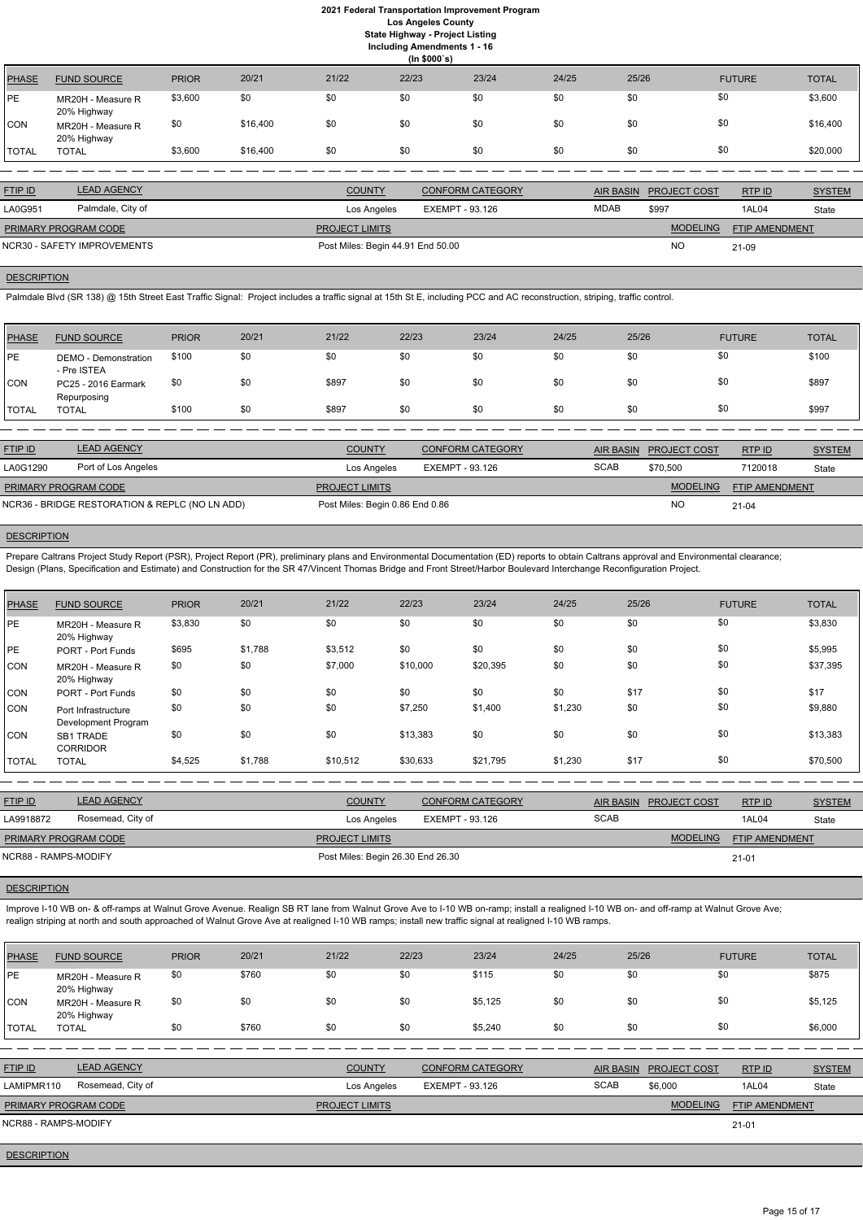|              | (ln \$000's)                     |              |          |       |       |       |       |       |               |              |
|--------------|----------------------------------|--------------|----------|-------|-------|-------|-------|-------|---------------|--------------|
| <b>PHASE</b> | <b>FUND SOURCE</b>               | <b>PRIOR</b> | 20/21    | 21/22 | 22/23 | 23/24 | 24/25 | 25/26 | <b>FUTURE</b> | <b>TOTAL</b> |
| PE           | MR20H - Measure R<br>20% Highway | \$3,600      | \$0      | \$0   | \$0   | \$0   | \$0   | \$0   | \$0           | \$3,600      |
| <b>CON</b>   | MR20H - Measure R<br>20% Highway | \$0          | \$16,400 | \$0   | \$0   | \$0   | \$0   | \$0   | \$0           | \$16,400     |
| <b>TOTAL</b> | <b>TOTAL</b>                     | \$3,600      | \$16,400 | \$0   | \$0   | \$0   | \$0   | \$0   | \$0           | \$20,000     |

| <b>FTIP ID</b>       | <b>LEAD AGENCY</b>          | <b>COUNTY</b>                     | <b>CONFORM CATEGORY</b> |             | AIR BASIN PROJECT COST | RTP ID                | <b>SYSTEM</b> |
|----------------------|-----------------------------|-----------------------------------|-------------------------|-------------|------------------------|-----------------------|---------------|
| LA0G951              | Palmdale, City of           | Los Angeles                       | EXEMPT - 93.126         | <b>MDAB</b> | \$997                  | 1AL04                 | State         |
| PRIMARY PROGRAM CODE |                             | <b>PROJECT LIMITS</b>             |                         |             | <b>MODELING</b>        | <b>FTIP AMENDMENT</b> |               |
|                      | NCR30 - SAFETY IMPROVEMENTS | Post Miles: Begin 44.91 End 50.00 |                         |             | <b>NO</b>              | 21-09                 |               |

# **DESCRIPTION**

Palmdale Blvd (SR 138) @ 15th Street East Traffic Signal: Project includes a traffic signal at 15th St E, including PCC and AC reconstruction, striping, traffic control.

| <b>PHASE</b> | <b>FUND SOURCE</b>                  | <b>PRIOR</b> | 20/21 | 21/22 | 22/23 | 23/24 | 24/25 | 25/26 | <b>FUTURE</b> | <b>TOTAL</b> |
|--------------|-------------------------------------|--------------|-------|-------|-------|-------|-------|-------|---------------|--------------|
| <b>PE</b>    | DEMO - Demonstration<br>- Pre ISTEA | \$100        | \$0   | \$0   | \$0   | \$0   | \$0   | \$0   | \$0           | \$100        |
| <b>CON</b>   | PC25 - 2016 Earmark<br>Repurposing  | \$0          | \$0   | \$897 | \$0   | \$0   | \$0   | \$0   | \$0           | \$897        |
| 'TOTAL       | TOTAL                               | \$100        | \$0   | \$897 | \$0   | \$0   | \$0   | \$0   | \$0           | \$997        |

| <b>FTIP ID</b>                                 | <b>LEAD AGENCY</b>  | <b>COUNTY</b>                   | <b>CONFORM CATEGORY</b> |             | AIR BASIN PROJECT COST | RTP ID                | <b>SYSTEM</b> |
|------------------------------------------------|---------------------|---------------------------------|-------------------------|-------------|------------------------|-----------------------|---------------|
| LA0G1290                                       | Port of Los Angeles | Los Angeles                     | EXEMPT - 93.126         | <b>SCAB</b> | \$70,500               | 7120018               | State         |
| <b>PRIMARY PROGRAM CODE</b>                    |                     | <b>PROJECT LIMITS</b>           |                         |             | <b>MODELING</b>        | <b>FTIP AMENDMENT</b> |               |
| NCR36 - BRIDGE RESTORATION & REPLC (NO LN ADD) |                     | Post Miles: Begin 0.86 End 0.86 |                         |             | <b>NO</b>              | $21-04$               |               |
|                                                |                     |                                 |                         |             |                        |                       |               |

# **DESCRIPTION**

Improve I-10 WB on- & off-ramps at Walnut Grove Avenue. Realign SB RT lane from Walnut Grove Ave to I-10 WB on-ramp; install a realigned I-10 WB on- and off-ramp at Walnut Grove Ave; realign striping at north and south approached of Walnut Grove Ave at realigned I-10 WB ramps; install new traffic signal at realigned I-10 WB ramps.

Prepare Caltrans Project Study Report (PSR), Project Report (PR), preliminary plans and Environmental Documentation (ED) reports to obtain Caltrans approval and Environmental clearance; Design (Plans, Specification and Estimate) and Construction for the SR 47/Vincent Thomas Bridge and Front Street/Harbor Boulevard Interchange Reconfiguration Project.

| <b>PHASE</b> | <b>FUND SOURCE</b>                         | <b>PRIOR</b> | 20/21   | 21/22                 | 22/23                  | 23/24                   | 24/25   | 25/26                                   | <b>FUTURE</b>  | <b>TOTAL</b>  |
|--------------|--------------------------------------------|--------------|---------|-----------------------|------------------------|-------------------------|---------|-----------------------------------------|----------------|---------------|
| PE           | MR20H - Measure R<br>20% Highway           | \$3,830      | \$0     | \$0                   | \$0                    | \$0                     | \$0     | \$0                                     | \$0            | \$3,830       |
| PE           | <b>PORT - Port Funds</b>                   | \$695        | \$1,788 | \$3,512               | \$0                    | \$0                     | \$0     | \$0                                     | \$0            | \$5,995       |
| <b>CON</b>   | MR20H - Measure R<br>20% Highway           | \$0          | \$0     | \$7,000               | \$10,000               | \$20,395                | \$0     | \$0                                     | \$0            | \$37,395      |
| <b>CON</b>   | <b>PORT - Port Funds</b>                   | \$0          | \$0     | \$0                   | \$0                    | \$0                     | \$0     | \$17                                    | \$0            | \$17          |
| CON          | Port Infrastructure<br>Development Program | \$0          | \$0     | \$0                   | \$7,250                | \$1,400                 | \$1,230 | \$0                                     | \$0            | \$9,880       |
| CON          | <b>SB1 TRADE</b><br><b>CORRIDOR</b>        | \$0          | \$0     | \$0                   | \$13,383               | \$0                     | \$0     | \$0                                     | \$0            | \$13,383      |
| <b>TOTAL</b> | <b>TOTAL</b>                               | \$4,525      | \$1,788 | \$10,512              | \$30,633               | \$21,795                | \$1,230 | \$17                                    | \$0            | \$70,500      |
|              |                                            |              |         |                       |                        |                         |         |                                         |                |               |
| FTIP ID      | <b>LEAD AGENCY</b>                         |              |         | <b>COUNTY</b>         |                        | <b>CONFORM CATEGORY</b> |         | <b>AIR BASIN</b><br><b>PROJECT COST</b> | RTP ID         | <b>SYSTEM</b> |
| LA9918872    | Rosemead, City of                          |              |         | Los Angeles           | <b>EXEMPT - 93.126</b> |                         |         | <b>SCAB</b>                             | 1AL04          | State         |
|              | PRIMARY PROGRAM CODE                       |              |         | <b>PROJECT LIMITS</b> |                        |                         |         | <b>MODELING</b>                         | FTIP AMENDMENT |               |

NCR88 - RAMPS-MODIFY **Post Miles: Begin 26.30 End 26.30** 

# **DESCRIPTION**

21-01

| PHASE              | <b>FUND SOURCE</b>               | <b>PRIOR</b> | 20/21 | 21/22                 | 22/23                  | 23/24                   | 24/25       | 25/26                                   | <b>FUTURE</b>  | <b>TOTAL</b>  |
|--------------------|----------------------------------|--------------|-------|-----------------------|------------------------|-------------------------|-------------|-----------------------------------------|----------------|---------------|
| <b>PE</b>          | MR20H - Measure R<br>20% Highway | \$0          | \$760 | \$0                   | \$0                    | \$115                   | \$0         | \$0                                     | \$0            | \$875         |
| CON                | MR20H - Measure R<br>20% Highway | \$0          | \$0   | \$0                   | \$0                    | \$5,125                 | \$0         | \$0                                     | \$0            | \$5,125       |
| <b>TOTAL</b>       | <b>TOTAL</b>                     | \$0          | \$760 | \$0                   | \$0                    | \$5,240                 | \$0         | \$0                                     | \$0            | \$6,000       |
|                    |                                  |              |       |                       |                        |                         |             |                                         |                |               |
| FTIP ID            | <b>LEAD AGENCY</b>               |              |       | <b>COUNTY</b>         |                        | <b>CONFORM CATEGORY</b> |             | <b>AIR BASIN</b><br><b>PROJECT COST</b> | RTP ID         | <b>SYSTEM</b> |
| LAMIPMR110         | Rosemead, City of                |              |       | Los Angeles           | <b>EXEMPT - 93.126</b> |                         | <b>SCAB</b> | \$6,000                                 | 1AL04          | State         |
|                    | PRIMARY PROGRAM CODE             |              |       | <b>PROJECT LIMITS</b> |                        |                         |             | <b>MODELING</b>                         | FTIP AMENDMENT |               |
|                    | <b>NCR88 - RAMPS-MODIFY</b>      |              |       |                       |                        |                         |             |                                         | $21 - 01$      |               |
| <b>DESCRIPTION</b> |                                  |              |       |                       |                        |                         |             |                                         |                |               |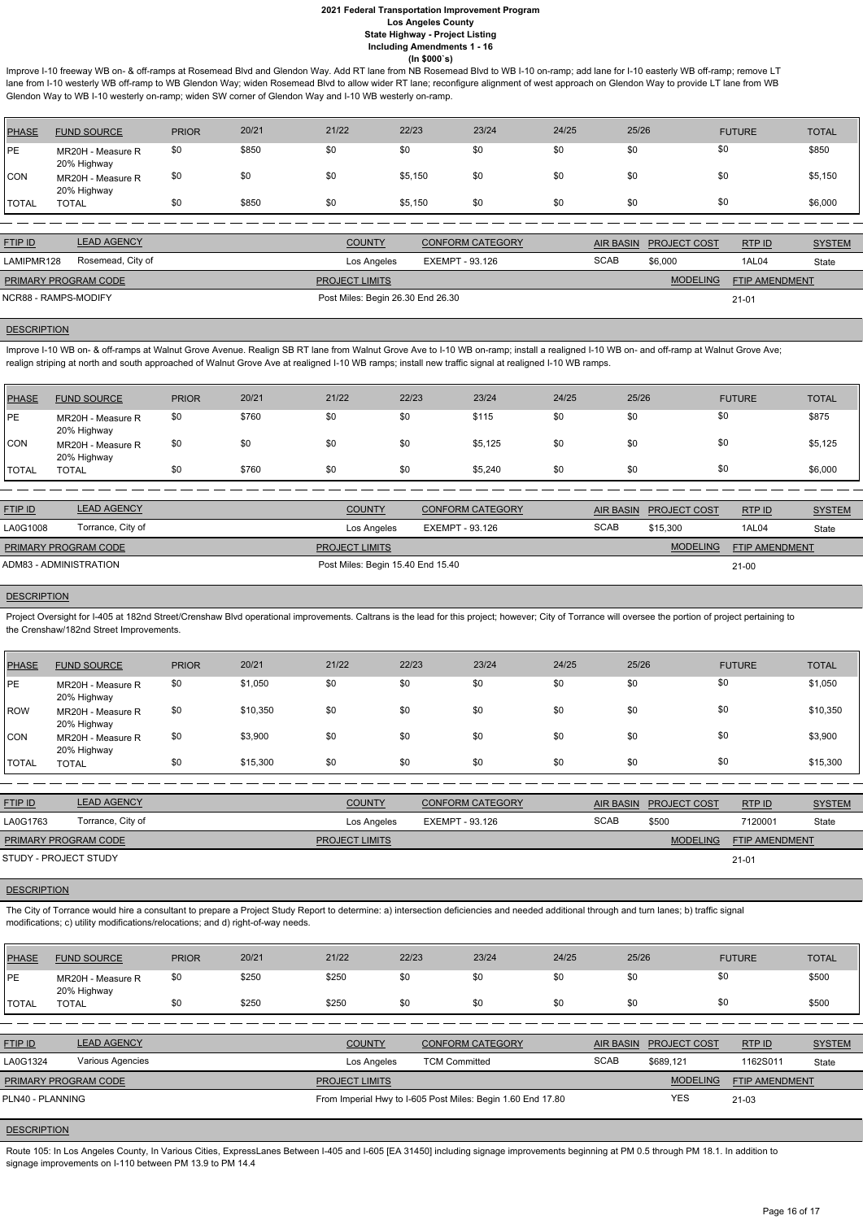Improve I-10 freeway WB on- & off-ramps at Rosemead Blvd and Glendon Way. Add RT lane from NB Rosemead Blvd to WB I-10 on-ramp; add lane for I-10 easterly WB off-ramp; remove LT lane from I-10 westerly WB off-ramp to WB Glendon Way; widen Rosemead Blvd to allow wider RT lane; reconfigure alignment of west approach on Glendon Way to provide LT lane from WB Glendon Way to WB I-10 westerly on-ramp; widen SW corner of Glendon Way and I-10 WB westerly on-ramp.

| <b>PHASE</b> | <b>FUND SOURCE</b>               | <b>PRIOR</b> | 20/21 | 21/22 | 22/23   | 23/24 | 24/25 | 25/26 | <b>FUTURE</b> | <b>TOTAL</b> |
|--------------|----------------------------------|--------------|-------|-------|---------|-------|-------|-------|---------------|--------------|
| PE           | MR20H - Measure R<br>20% Highway | \$0          | \$850 | \$0   | \$0     | \$0   | \$0   | \$0   | \$0           | \$850        |
| CON          | MR20H - Measure R<br>20% Highway | \$0          | \$0   | \$0   | \$5,150 | \$0   | \$0   | \$0   | \$0           | \$5,150      |
| <b>TOTAL</b> | <b>TOTAL</b>                     | \$0          | \$850 | \$0   | \$5,150 | \$0   | \$0   | \$0   |               | \$6,000      |

Improve I-10 WB on- & off-ramps at Walnut Grove Avenue. Realign SB RT lane from Walnut Grove Ave to I-10 WB on-ramp; install a realigned I-10 WB on- and off-ramp at Walnut Grove Ave; realign striping at north and south approached of Walnut Grove Ave at realigned I-10 WB ramps; install new traffic signal at realigned I-10 WB ramps.

| <b>FTIP ID</b>              | <b>LEAD AGENCY</b> | <b>COUNTY</b>                     | <b>CONFORM CATEGORY</b> | AIR BASIN   | <b>PROJECT COST</b> | RTP ID                | <b>SYSTEM</b> |
|-----------------------------|--------------------|-----------------------------------|-------------------------|-------------|---------------------|-----------------------|---------------|
| LAMIPMR128                  | Rosemead, City of  | Los Angeles                       | EXEMPT - 93.126         | <b>SCAB</b> | \$6,000             | 1AL04                 | State         |
| <b>PRIMARY PROGRAM CODE</b> |                    | <b>PROJECT LIMITS</b>             |                         |             | <b>MODELING</b>     | <b>FTIP AMENDMENT</b> |               |
| NCR88 - RAMPS-MODIFY        |                    | Post Miles: Begin 26.30 End 26.30 |                         |             |                     | $21 - 01$             |               |

# **DESCRIPTION**

Project Oversight for I-405 at 182nd Street/Crenshaw Blvd operational improvements. Caltrans is the lead for this project; however; City of Torrance will oversee the portion of project pertaining to the Crenshaw/182nd Street Improvements.

| <b>PHASE</b> | <b>FUND SOURCE</b>               | <b>PRIOR</b> | 20/21 | 21/22 | 22/23 | 23/24   | 24/25 | 25/26 | <b>FUTURE</b> | <b>TOTAL</b> |
|--------------|----------------------------------|--------------|-------|-------|-------|---------|-------|-------|---------------|--------------|
| <b>PE</b>    | MR20H - Measure R<br>20% Highway | \$0          | \$760 | \$0   | \$0   | \$115   | \$0   | \$0   | \$0           | \$875        |
| <b>CON</b>   | MR20H - Measure R<br>20% Highway | \$0          | \$0   | \$0   | \$0   | \$5,125 | \$0   | \$0   | \$0           | \$5,125      |
| <b>TOTAL</b> | <b>TOTAL</b>                     | \$0          | \$760 | \$0   | \$0   | \$5,240 | \$0   | \$0   | \$0           | \$6,000      |

| <b>FTIP ID</b>         | <b>LEAD AGENCY</b> | <b>COUNTY</b>                     | <b>CONFORM CATEGORY</b> | AIR BASIN   | <b>PROJECT COST</b> | RTP ID                | <b>SYSTEM</b> |
|------------------------|--------------------|-----------------------------------|-------------------------|-------------|---------------------|-----------------------|---------------|
| LA0G1008               | Torrance, City of  | Los Angeles                       | EXEMPT - 93.126         | <b>SCAB</b> | \$15,300            | 1AL04                 | State         |
| PRIMARY PROGRAM CODE   |                    | <b>PROJECT LIMITS</b>             |                         |             | <b>MODELING</b>     | <b>FTIP AMENDMENT</b> |               |
| ADM83 - ADMINISTRATION |                    | Post Miles: Begin 15.40 End 15.40 | $21-00$                 |             |                     |                       |               |

## **DESCRIPTION**

Route 105: In Los Angeles County, In Various Cities, ExpressLanes Between I-405 and I-605 [EA 31450] including signage improvements beginning at PM 0.5 through PM 18.1. In addition to signage improvements on I-110 between PM 13.9 to PM 14.4

| <b>PHASE</b> | <b>FUND SOURCE</b>               | <b>PRIOR</b> | 20/21    | 21/22 | 22/23 | 23/24 | 24/25 | 25/26 | <b>FUTURE</b> | <b>TOTAL</b> |
|--------------|----------------------------------|--------------|----------|-------|-------|-------|-------|-------|---------------|--------------|
| PE           | MR20H - Measure R<br>20% Highway | \$0          | \$1,050  | \$0   | \$0   | \$0   | \$0   | \$0   | \$0           | \$1,050      |
| <b>ROW</b>   | MR20H - Measure R<br>20% Highway | \$0          | \$10,350 | \$0   | \$0   | \$0   | \$0   | \$0   | \$0           | \$10,350     |
| <b>CON</b>   | MR20H - Measure R<br>20% Highway | \$0          | \$3,900  | \$0   | \$0   | \$0   | \$0   | \$0   | \$0           | \$3,900      |
| <b>TOTAL</b> | <b>TOTAL</b>                     | \$0          | \$15,300 | \$0   | \$0   | \$0   | \$0   | \$0   | \$0           | \$15,300     |
|              |                                  |              |          |       |       |       |       |       |               |              |

| <b>FTIP ID</b>        | <b>LEAD AGENCY</b> | <b>COUNTY</b>         | <b>CONFORM CATEGORY</b> |             | AIR BASIN PROJECT COST | RTPID          | <b>SYSTEM</b> |
|-----------------------|--------------------|-----------------------|-------------------------|-------------|------------------------|----------------|---------------|
| LA0G1763              | Torrance, City of  | Los Angeles           | EXEMPT - 93.126         | <b>SCAB</b> | \$500                  | 7120001        | State         |
| PRIMARY PROGRAM CODE  |                    | <b>PROJECT LIMITS</b> |                         |             | <b>MODELING</b>        | FTIP AMENDMENT |               |
| STUDY - PROJECT STUDY |                    |                       |                         |             |                        | 21-01          |               |

# **DESCRIPTION**

The City of Torrance would hire a consultant to prepare a Project Study Report to determine: a) intersection deficiencies and needed additional through and turn lanes; b) traffic signal

modifications; c) utility modifications/relocations; and d) right-of-way needs.

| <b>PHASE</b>         | <b>FUND SOURCE</b>               | <b>PRIOR</b> | 20/21 | 21/22                                                       | 22/23                | 23/24                   | 24/25       | 25/26            |                     | <b>FUTURE</b>         | <b>TOTAL</b>  |
|----------------------|----------------------------------|--------------|-------|-------------------------------------------------------------|----------------------|-------------------------|-------------|------------------|---------------------|-----------------------|---------------|
| <b>PE</b>            | MR20H - Measure R<br>20% Highway | \$0          | \$250 | \$250                                                       | \$0                  | \$0                     | \$0         | \$0              | \$0                 |                       | \$500         |
| <b>TOTAL</b>         | <b>TOTAL</b>                     | \$0          | \$250 | \$250                                                       | \$0                  | \$0                     | \$0         | \$0              | \$0                 |                       | \$500         |
|                      |                                  |              |       |                                                             |                      |                         |             |                  |                     |                       |               |
| FTIP ID              | <b>LEAD AGENCY</b>               |              |       | <b>COUNTY</b>                                               |                      | <b>CONFORM CATEGORY</b> |             | <b>AIR BASIN</b> | <b>PROJECT COST</b> | RTPID                 | <b>SYSTEM</b> |
| LA0G1324             | Various Agencies                 |              |       | Los Angeles                                                 | <b>TCM Committed</b> |                         | <b>SCAB</b> |                  | \$689,121           | 1162S011              | State         |
| PRIMARY PROGRAM CODE |                                  |              |       | <b>PROJECT LIMITS</b>                                       |                      |                         |             |                  | <b>MODELING</b>     | <b>FTIP AMENDMENT</b> |               |
| PLN40 - PLANNING     |                                  |              |       | From Imperial Hwy to I-605 Post Miles: Begin 1.60 End 17.80 |                      |                         |             |                  | <b>YES</b>          | 21-03                 |               |